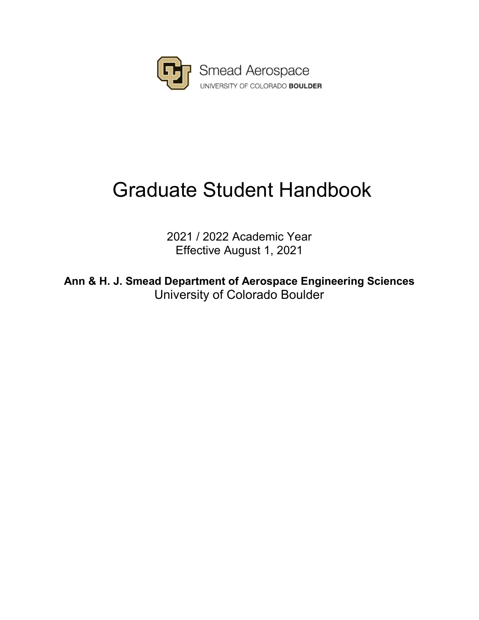

# Graduate Student Handbook

2021 / 2022 Academic Year Effective August 1, 2021

**Ann & H. J. Smead Department of Aerospace Engineering Sciences** University of Colorado Boulder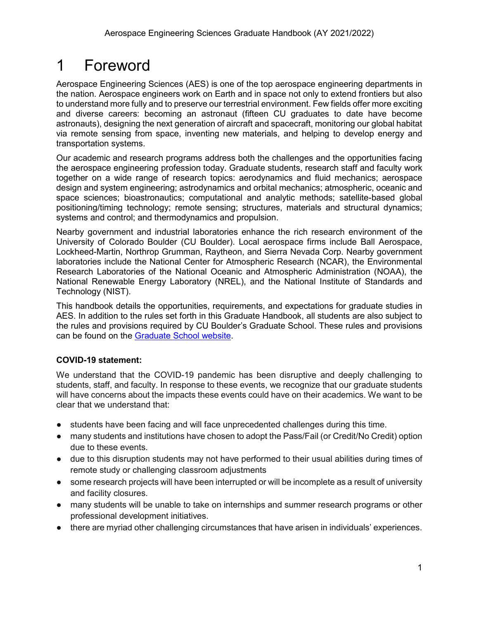## <span id="page-1-0"></span>1 Foreword

Aerospace Engineering Sciences (AES) is one of the top aerospace engineering departments in the nation. Aerospace engineers work on Earth and in space not only to extend frontiers but also to understand more fully and to preserve our terrestrial environment. Few fields offer more exciting and diverse careers: becoming an astronaut (fifteen CU graduates to date have become astronauts), designing the next generation of aircraft and spacecraft, monitoring our global habitat via remote sensing from space, inventing new materials, and helping to develop energy and transportation systems.

Our academic and research programs address both the challenges and the opportunities facing the aerospace engineering profession today. Graduate students, research staff and faculty work together on a wide range of research topics: aerodynamics and fluid mechanics; aerospace design and system engineering; astrodynamics and orbital mechanics; atmospheric, oceanic and space sciences; bioastronautics; computational and analytic methods; satellite-based global positioning/timing technology; remote sensing; structures, materials and structural dynamics; systems and control; and thermodynamics and propulsion.

Nearby government and industrial laboratories enhance the rich research environment of the University of Colorado Boulder (CU Boulder). Local aerospace firms include Ball Aerospace, Lockheed-Martin, Northrop Grumman, Raytheon, and Sierra Nevada Corp. Nearby government laboratories include the National Center for Atmospheric Research (NCAR), the Environmental Research Laboratories of the National Oceanic and Atmospheric Administration (NOAA), the National Renewable Energy Laboratory (NREL), and the National Institute of Standards and Technology (NIST).

This handbook details the opportunities, requirements, and expectations for graduate studies in AES. In addition to the rules set forth in this Graduate Handbook, all students are also subject to the rules and provisions required by CU Boulder's Graduate School. These rules and provisions can be found on the [Graduate School website.](https://www.colorado.edu/graduateschool/academic-resources)

#### **COVID-19 statement:**

We understand that the COVID-19 pandemic has been disruptive and deeply challenging to students, staff, and faculty. In response to these events, we recognize that our graduate students will have concerns about the impacts these events could have on their academics. We want to be clear that we understand that:

- students have been facing and will face unprecedented challenges during this time.
- many students and institutions have chosen to adopt the Pass/Fail (or Credit/No Credit) option due to these events.
- due to this disruption students may not have performed to their usual abilities during times of remote study or challenging classroom adjustments
- some research projects will have been interrupted or will be incomplete as a result of university and facility closures.
- many students will be unable to take on internships and summer research programs or other professional development initiatives.
- there are myriad other challenging circumstances that have arisen in individuals' experiences.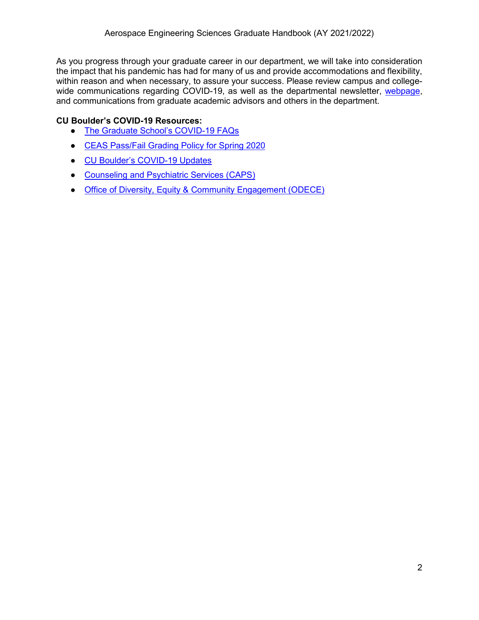As you progress through your graduate career in our department, we will take into consideration the impact that his pandemic has had for many of us and provide accommodations and flexibility, within reason and when necessary, to assure your success. Please review campus and collegewide communications regarding COVID-19, as well as the departmental newsletter, [webpage,](https://www.colorado.edu/aerospace/) and communications from graduate academic advisors and others in the department.

#### **CU Boulder's COVID-19 Resources:**

- [The Graduate School's COVID-19 FAQs](https://www.colorado.edu/graduateschool/covid-19-update-graduate-school-faqs)
- [CEAS Pass/Fail Grading Policy for Spring 2020](https://www.colorado.edu/engineering/ceas-passfail-grading-spring-2020)
- [CU Boulder's COVID-19 Updates](https://www.colorado.edu/covid-19)
- [Counseling and Psychiatric Services \(CAPS\)](https://www.colorado.edu/resources/counseling-psychiatric-services-caps)
- [Office of Diversity, Equity & Community Engagement \(ODECE\)](https://www.colorado.edu/odece/)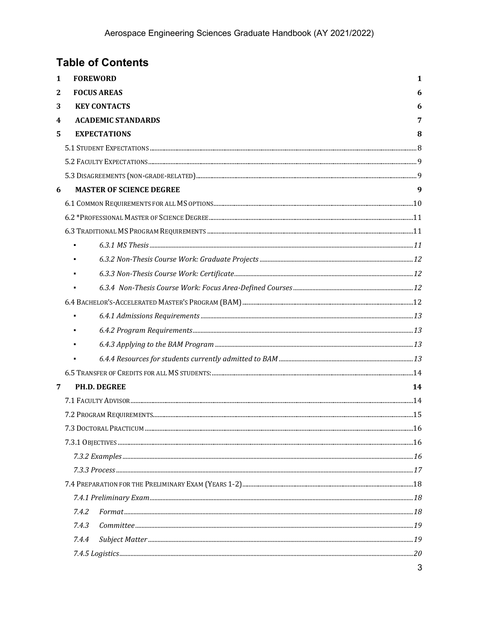|              | <b>Table of Contents</b>        |    |
|--------------|---------------------------------|----|
| 1            | <b>FOREWORD</b>                 | 1  |
| $\mathbf{2}$ | <b>FOCUS AREAS</b>              | 6  |
| 3            | <b>KEY CONTACTS</b>             | 6  |
| 4            | <b>ACADEMIC STANDARDS</b>       | 7  |
| 5.           | <b>EXPECTATIONS</b>             | 8  |
|              |                                 |    |
|              |                                 |    |
|              |                                 |    |
| 6            | <b>MASTER OF SCIENCE DEGREE</b> | 9  |
|              |                                 |    |
|              |                                 |    |
|              |                                 |    |
|              |                                 |    |
|              |                                 |    |
|              |                                 |    |
|              |                                 |    |
|              |                                 |    |
|              |                                 |    |
|              |                                 |    |
|              |                                 |    |
|              |                                 |    |
|              |                                 |    |
| 7            | <b>PH.D. DEGREE</b>             | 14 |
|              |                                 |    |
|              |                                 |    |
|              |                                 |    |
|              |                                 |    |
|              |                                 |    |
|              |                                 |    |
|              |                                 |    |
|              |                                 |    |
|              | 7.4.2<br>Format. 18             |    |
|              | 7.4.3                           |    |
|              | 7.4.4                           |    |
|              |                                 |    |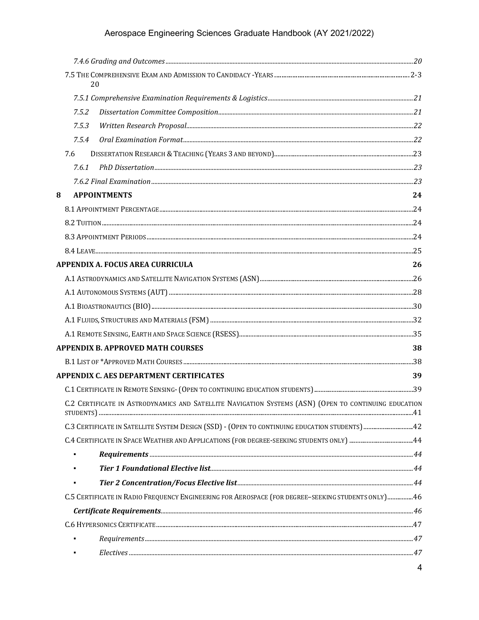### Aerospace Engineering Sciences Graduate Handbook (AY 2021/2022)

| 20                                                                                                    |    |
|-------------------------------------------------------------------------------------------------------|----|
|                                                                                                       |    |
| 7.5.2                                                                                                 |    |
| 7.5.3                                                                                                 |    |
| 7.5.4                                                                                                 |    |
| 7.6                                                                                                   |    |
| 7.6.1                                                                                                 |    |
|                                                                                                       |    |
| 8<br><b>APPOINTMENTS</b>                                                                              | 24 |
|                                                                                                       |    |
|                                                                                                       |    |
|                                                                                                       |    |
|                                                                                                       |    |
| APPENDIX A. FOCUS AREA CURRICULA                                                                      | 26 |
|                                                                                                       |    |
|                                                                                                       |    |
|                                                                                                       |    |
|                                                                                                       |    |
|                                                                                                       |    |
| <b>APPENDIX B. APPROVED MATH COURSES</b>                                                              | 38 |
|                                                                                                       |    |
| <b>APPENDIX C. AES DEPARTMENT CERTIFICATES</b>                                                        | 39 |
|                                                                                                       |    |
| C.2 CERTIFICATE IN ASTRODYNAMICS AND SATELLITE NAVIGATION SYSTEMS (ASN) (OPEN TO CONTINUING EDUCATION |    |
|                                                                                                       |    |
|                                                                                                       |    |
|                                                                                                       |    |
|                                                                                                       |    |
|                                                                                                       |    |
| C.5 CERTIFICATE IN RADIO FREQUENCY ENGINEERING FOR AEROSPACE (FOR DEGREE-SEEKING STUDENTS ONLY) 46    |    |
|                                                                                                       |    |
|                                                                                                       |    |
|                                                                                                       |    |
|                                                                                                       |    |
|                                                                                                       |    |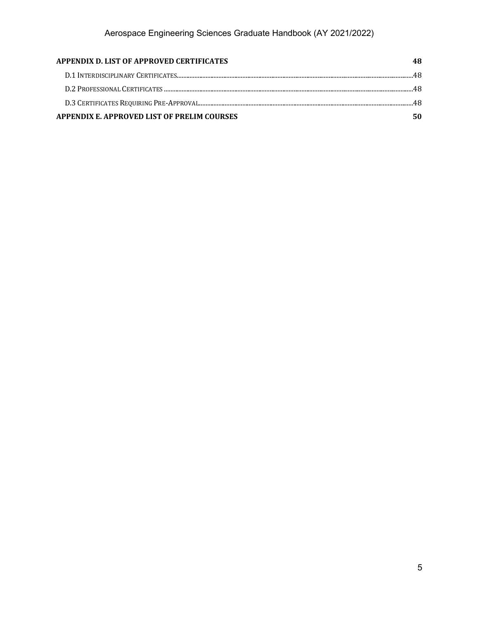| APPENDIX D. LIST OF APPROVED CERTIFICATES   |  |
|---------------------------------------------|--|
|                                             |  |
|                                             |  |
|                                             |  |
| APPENDIX E. APPROVED LIST OF PRELIM COURSES |  |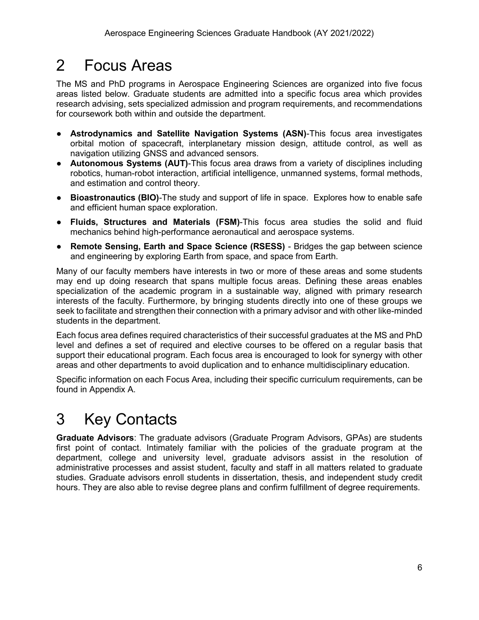## <span id="page-6-0"></span>2 Focus Areas

The MS and PhD programs in Aerospace Engineering Sciences are organized into five focus areas listed below. Graduate students are admitted into a specific focus area which provides research advising, sets specialized admission and program requirements, and recommendations for coursework both within and outside the department.

- **Astrodynamics and Satellite Navigation Systems (ASN)**-This focus area investigates orbital motion of spacecraft, interplanetary mission design, attitude control, as well as navigation utilizing GNSS and advanced sensors.
- **Autonomous Systems (AUT)**-This focus area draws from a variety of disciplines including robotics, human-robot interaction, artificial intelligence, unmanned systems, formal methods, and estimation and control theory.
- **Bioastronautics (BIO)**-The study and support of life in space. Explores how to enable safe and efficient human space exploration.
- **Fluids, Structures and Materials (FSM)**-This focus area studies the solid and fluid mechanics behind high-performance aeronautical and aerospace systems.
- **Remote Sensing, Earth and Space Science (RSESS)** Bridges the gap between science and engineering by exploring Earth from space, and space from Earth.

Many of our faculty members have interests in two or more of these areas and some students may end up doing research that spans multiple focus areas. Defining these areas enables specialization of the academic program in a sustainable way, aligned with primary research interests of the faculty. Furthermore, by bringing students directly into one of these groups we seek to facilitate and strengthen their connection with a primary advisor and with other like-minded students in the department.

Each focus area defines required characteristics of their successful graduates at the MS and PhD level and defines a set of required and elective courses to be offered on a regular basis that support their educational program. Each focus area is encouraged to look for synergy with other areas and other departments to avoid duplication and to enhance multidisciplinary education.

Specific information on each Focus Area, including their specific curriculum requirements, can be found in Appendix A.

## <span id="page-6-1"></span>3 Key Contacts

**Graduate Advisors**: The graduate advisors (Graduate Program Advisors, GPAs) are students first point of contact. Intimately familiar with the policies of the graduate program at the department, college and university level, graduate advisors assist in the resolution of administrative processes and assist student, faculty and staff in all matters related to graduate studies. Graduate advisors enroll students in dissertation, thesis, and independent study credit hours. They are also able to revise degree plans and confirm fulfillment of degree requirements.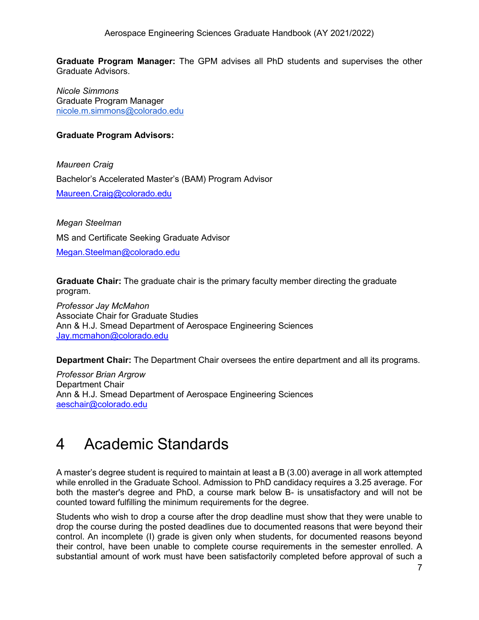**Graduate Program Manager:** The GPM advises all PhD students and supervises the other Graduate Advisors.

*Nicole Simmons* Graduate Program Manager [nicole.m.simmons@colorado.edu](mailto:nicole.m.simmons@colorado.edu) 

#### **Graduate Program Advisors:**

*Maureen Craig*  Bachelor's Accelerated Master's (BAM) Program Advisor [Maureen.Craig@colorado.edu](mailto:Maureen.Craig@colorado.edu) 

*Megan Steelman* MS and Certificate Seeking Graduate Advisor [Megan.Steelman@colorado.edu](mailto:Megan.Steelman@colorado.edu) 

**Graduate Chair:** The graduate chair is the primary faculty member directing the graduate program.

*Professor Jay McMahon* Associate Chair for Graduate Studies Ann & H.J. Smead Department of Aerospace Engineering Sciences [Jay.mcmahon@colorado.edu](mailto:Jay.mcmahon@colorado.edu) 

**Department Chair:** The Department Chair oversees the entire department and all its programs.

*Professor Brian Argrow* Department Chair Ann & H.J. Smead Department of Aerospace Engineering Sciences [aeschair@colorado.edu](mailto:aeschair@colorado.edu) 

## <span id="page-7-0"></span>4 Academic Standards

A master's degree student is required to maintain at least a B (3.00) average in all work attempted while enrolled in the Graduate School. Admission to PhD candidacy requires a 3.25 average. For both the master's degree and PhD, a course mark below B- is unsatisfactory and will not be counted toward fulfilling the minimum requirements for the degree.

Students who wish to drop a course after the drop deadline must show that they were unable to drop the course during the posted deadlines due to documented reasons that were beyond their control. An incomplete (I) grade is given only when students, for documented reasons beyond their control, have been unable to complete course requirements in the semester enrolled. A substantial amount of work must have been satisfactorily completed before approval of such a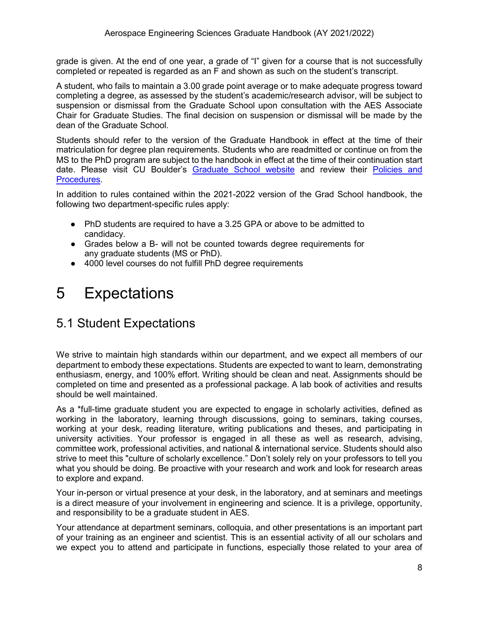grade is given. At the end of one year, a grade of "I" given for a course that is not successfully completed or repeated is regarded as an F and shown as such on the student's transcript.

A student, who fails to maintain a 3.00 grade point average or to make adequate progress toward completing a degree, as assessed by the student's academic/research advisor, will be subject to suspension or dismissal from the Graduate School upon consultation with the AES Associate Chair for Graduate Studies. The final decision on suspension or dismissal will be made by the dean of the Graduate School.

Students should refer to the version of the Graduate Handbook in effect at the time of their matriculation for degree plan requirements. Students who are readmitted or continue on from the MS to the PhD program are subject to the handbook in effect at the time of their continuation start date. Please visit CU Boulder's [Graduate School website](https://www.colorado.edu/graduateschool/) and review their [Policies and](https://www.colorado.edu/graduateschool/graduate-school-policies-procedures) [Procedures.](https://www.colorado.edu/graduateschool/graduate-school-policies-procedures)

In addition to rules contained within the 2021-2022 version of the Grad School handbook, the following two department-specific rules apply:

- PhD students are required to have a 3.25 GPA or above to be admitted to candidacy.
- Grades below a B- will not be counted towards degree requirements for any graduate students (MS or PhD).
- 4000 level courses do not fulfill PhD degree requirements

## <span id="page-8-0"></span>5 Expectations

## <span id="page-8-1"></span>5.1 Student Expectations

We strive to maintain high standards within our department, and we expect all members of our department to embody these expectations. Students are expected to want to learn, demonstrating enthusiasm, energy, and 100% effort. Writing should be clean and neat. Assignments should be completed on time and presented as a professional package. A lab book of activities and results should be well maintained.

As a \*full-time graduate student you are expected to engage in scholarly activities, defined as working in the laboratory, learning through discussions, going to seminars, taking courses, working at your desk, reading literature, writing publications and theses, and participating in university activities. Your professor is engaged in all these as well as research, advising, committee work, professional activities, and national & international service. Students should also strive to meet this "culture of scholarly excellence." Don't solely rely on your professors to tell you what you should be doing. Be proactive with your research and work and look for research areas to explore and expand.

Your in-person or virtual presence at your desk, in the laboratory, and at seminars and meetings is a direct measure of your involvement in engineering and science. It is a privilege, opportunity, and responsibility to be a graduate student in AES.

Your attendance at department seminars, colloquia, and other presentations is an important part of your training as an engineer and scientist. This is an essential activity of all our scholars and we expect you to attend and participate in functions, especially those related to your area of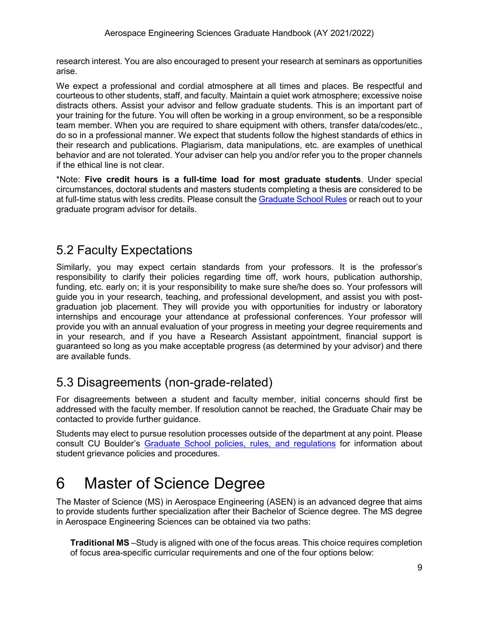research interest. You are also encouraged to present your research at seminars as opportunities arise.

We expect a professional and cordial atmosphere at all times and places. Be respectful and courteous to other students, staff, and faculty. Maintain a quiet work atmosphere; excessive noise distracts others. Assist your advisor and fellow graduate students. This is an important part of your training for the future. You will often be working in a group environment, so be a responsible team member. When you are required to share equipment with others, transfer data/codes/etc., do so in a professional manner. We expect that students follow the highest standards of ethics in their research and publications. Plagiarism, data manipulations, etc. are examples of unethical behavior and are not tolerated. Your adviser can help you and/or refer you to the proper channels if the ethical line is not clear.

\*Note: **Five credit hours is a full-time load for most graduate students**. Under special circumstances, doctoral students and masters students completing a thesis are considered to be at full-time status with less credits. Please consult the [Graduate School Rules](https://www.colorado.edu/graduateschool/sites/default/files/attached-files/graduate_school_rules_2021.pdf) or reach out to your graduate program advisor for details.

## <span id="page-9-0"></span>5.2 Faculty Expectations

Similarly, you may expect certain standards from your professors. It is the professor's responsibility to clarify their policies regarding time off, work hours, publication authorship, funding, etc. early on; it is your responsibility to make sure she/he does so. Your professors will guide you in your research, teaching, and professional development, and assist you with postgraduation job placement. They will provide you with opportunities for industry or laboratory internships and encourage your attendance at professional conferences. Your professor will provide you with an annual evaluation of your progress in meeting your degree requirements and in your research, and if you have a Research Assistant appointment, financial support is guaranteed so long as you make acceptable progress (as determined by your advisor) and there are available funds.

## <span id="page-9-1"></span>5.3 Disagreements (non-grade-related)

For disagreements between a student and faculty member, initial concerns should first be addressed with the faculty member. If resolution cannot be reached, the Graduate Chair may be contacted to provide further guidance.

Students may elect to pursue resolution processes outside of the department at any point. Please consult CU Boulder's [Graduate School policies, rules, and regulations](https://www.colorado.edu/graduateschool/graduate-school-policies-procedures) for information about student grievance policies and procedures.

## <span id="page-9-2"></span>6 Master of Science Degree

The Master of Science (MS) in Aerospace Engineering (ASEN) is an advanced degree that aims to provide students further specialization after their Bachelor of Science degree. The MS degree in Aerospace Engineering Sciences can be obtained via two paths:

**Traditional MS** –Study is aligned with one of the focus areas. This choice requires completion of focus area-specific curricular requirements and one of the four options below: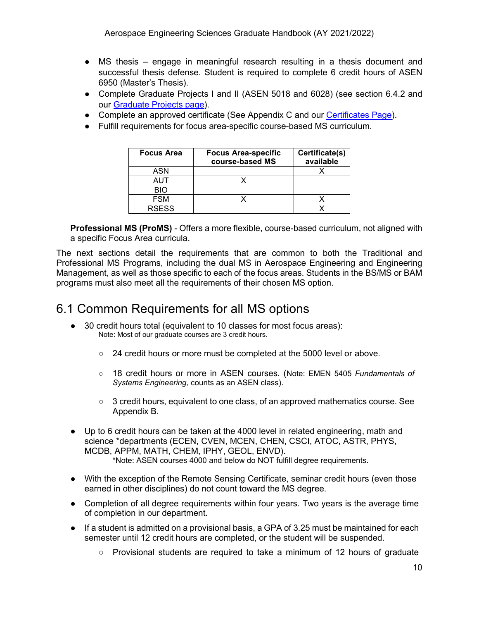- MS thesis engage in meaningful research resulting in a thesis document and successful thesis defense. Student is required to complete 6 credit hours of ASEN 6950 (Master's Thesis).
- Complete Graduate Projects I and II (ASEN 5018 and 6028) (see section 6.4.2 and our [Graduate Projects page\)](https://www.colorado.edu/aerospace/current-students/graduates/graduate-projects).
- Complete an approved certificate (See Appendix C and our [Certificates Page\)](https://www.colorado.edu/aerospace/current-students/graduates/curriculum/certificates).
- Fulfill requirements for focus area-specific course-based MS curriculum.

| <b>Focus Area</b> | <b>Focus Area-specific</b><br>course-based MS | Certificate(s)<br>available |
|-------------------|-----------------------------------------------|-----------------------------|
| ASN               |                                               |                             |
| AUT               |                                               |                             |
| <b>BIO</b>        |                                               |                             |
| <b>FSM</b>        |                                               |                             |
| <b>RSESS</b>      |                                               |                             |

**Professional MS (ProMS)** - Offers a more flexible, course-based curriculum, not aligned with a specific Focus Area curricula.

The next sections detail the requirements that are common to both the Traditional and Professional MS Programs, including the dual MS in Aerospace Engineering and Engineering Management, as well as those specific to each of the focus areas. Students in the BS/MS or BAM programs must also meet all the requirements of their chosen MS option.

## <span id="page-10-0"></span>6.1 Common Requirements for all MS options

- 30 credit hours total (equivalent to 10 classes for most focus areas): Note: Most of our graduate courses are 3 credit hours.
	- 24 credit hours or more must be completed at the 5000 level or above.
	- 18 credit hours or more in ASEN courses. (Note: EMEN 5405 *Fundamentals of Systems Engineering,* counts as an ASEN class).
	- 3 credit hours, equivalent to one class, of an approved mathematics course. See Appendix B.
- Up to 6 credit hours can be taken at the 4000 level in related engineering, math and science \*departments (ECEN, CVEN, MCEN, CHEN, CSCI, ATOC, ASTR, PHYS, MCDB, APPM, MATH, CHEM, IPHY, GEOL, ENVD). \*Note: ASEN courses 4000 and below do NOT fulfill degree requirements.
- With the exception of the Remote Sensing Certificate, seminar credit hours (even those
- earned in other disciplines) do not count toward the MS degree.
- Completion of all degree requirements within four years. Two years is the average time of completion in our department.
- If a student is admitted on a provisional basis, a GPA of 3.25 must be maintained for each semester until 12 credit hours are completed, or the student will be suspended.
	- Provisional students are required to take a minimum of 12 hours of graduate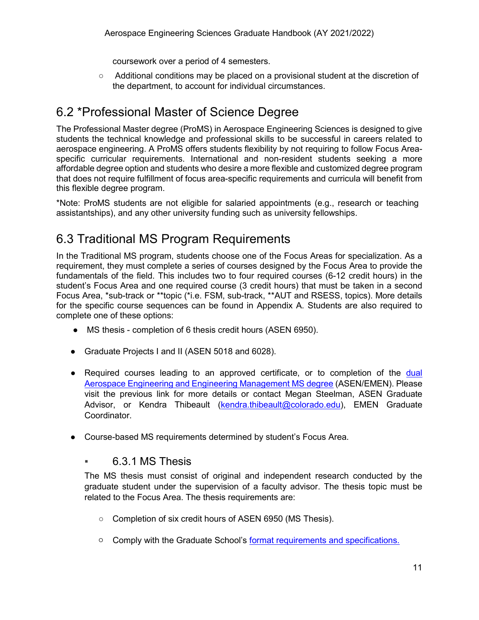coursework over a period of 4 semesters.

○ Additional conditions may be placed on a provisional student at the discretion of the department, to account for individual circumstances.

## <span id="page-11-0"></span>6.2 \*Professional Master of Science Degree

The Professional Master degree (ProMS) in Aerospace Engineering Sciences is designed to give students the technical knowledge and professional skills to be successful in careers related to aerospace engineering. A ProMS offers students flexibility by not requiring to follow Focus Areaspecific curricular requirements. International and non-resident students seeking a more affordable degree option and students who desire a more flexible and customized degree program that does not require fulfillment of focus area-specific requirements and curricula will benefit from this flexible degree program.

\*Note: ProMS students are not eligible for salaried appointments (e.g., research or teaching assistantships), and any other university funding such as university fellowships.

## <span id="page-11-1"></span>6.3 Traditional MS Program Requirements

In the Traditional MS program, students choose one of the Focus Areas for specialization. As a requirement, they must complete a series of courses designed by the Focus Area to provide the fundamentals of the field. This includes two to four required courses (6-12 credit hours) in the student's Focus Area and one required course (3 credit hours) that must be taken in a second Focus Area, \*sub-track or \*\*topic (\*i.e. FSM, sub-track, \*\*AUT and RSESS, topics). More details for the specific course sequences can be found in Appendix A. Students are also required to complete one of these options:

- MS thesis completion of 6 thesis credit hours (ASEN 6950).
- Graduate Projects I and II (ASEN 5018 and 6028).
- Required courses leading to an approved certificate, or to completion of the dual [Aerospace Engineering and Engineering Management MS degree](https://www.colorado.edu/aerospace/prospective-students/graduates/academics/dual-graduate-degree-aerospace-engineering-and-engineering) (ASEN/EMEN). Please visit the previous link for more details or contact Megan Steelman, ASEN Graduate Advisor, or Kendra Thibeault [\(kendra.thibeault@colorado.edu\)](mailto:kendra.thibeault@colorado.edu), EMEN Graduate Coordinator.
- <span id="page-11-2"></span>● Course-based MS requirements determined by student's Focus Area.

#### ▪ 6.3.1 MS Thesis

The MS thesis must consist of original and independent research conducted by the graduate student under the supervision of a faculty advisor. The thesis topic must be related to the Focus Area. The thesis requirements are:

- Completion of six credit hours of ASEN 6950 (MS Thesis).
- Comply with the Graduate School's [format requirements and specifications.](https://www.colorado.edu/graduateschool/academic-resources/thesis-dissertation-submission)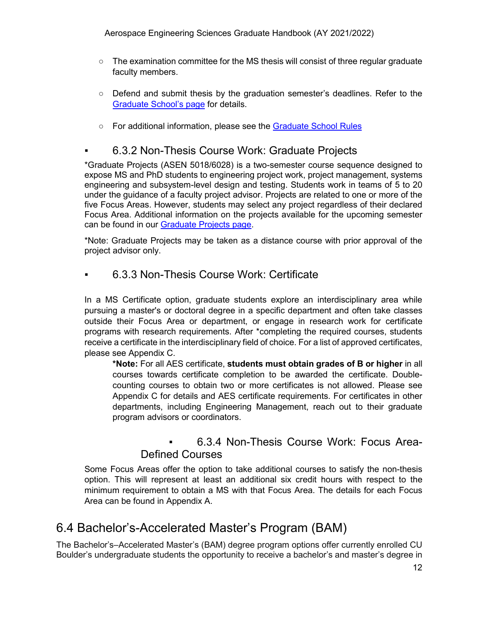- $\circ$  The examination committee for the MS thesis will consist of three regular graduate faculty members.
- Defend and submit thesis by the graduation semester's deadlines. Refer to the [Graduate School's page](https://www.colorado.edu/graduateschool/academic-resources/graduation-requirements) for details.
- For additional information, please see the [Graduate School Rules](https://www.colorado.edu/graduateschool/sites/default/files/attached-files/graduate_school_rules_2021.pdf)

#### <span id="page-12-0"></span>6.3.2 Non-Thesis Course Work: Graduate Projects

\*Graduate Projects (ASEN 5018/6028) is a two-semester course sequence designed to expose MS and PhD students to engineering project work, project management, systems engineering and subsystem-level design and testing. Students work in teams of 5 to 20 under the guidance of a faculty project advisor. Projects are related to one or more of the five Focus Areas. However, students may select any project regardless of their declared Focus Area. Additional information on the projects available for the upcoming semester can be found in our [Graduate Projects page.](https://www.colorado.edu/aerospace/current-students/graduates/graduate-projects)

\*Note: Graduate Projects may be taken as a distance course with prior approval of the project advisor only.

#### <span id="page-12-1"></span>6.3.3 Non-Thesis Course Work: Certificate

In a MS Certificate option, graduate students explore an interdisciplinary area while pursuing a master's or doctoral degree in a specific department and often take classes outside their Focus Area or department, or engage in research work for certificate programs with research requirements. After \*completing the required courses, students receive a certificate in the interdisciplinary field of choice. For a list of approved certificates, please see Appendix C.

**\*Note:** For all AES certificate, **students must obtain grades of B or higher** in all courses towards certificate completion to be awarded the certificate. Doublecounting courses to obtain two or more certificates is not allowed. Please see Appendix C for details and AES certificate requirements. For certificates in other departments, including Engineering Management, reach out to their graduate program advisors or coordinators.

#### 6.3.4 Non-Thesis Course Work: Focus Area-Defined Courses

<span id="page-12-2"></span>Some Focus Areas offer the option to take additional courses to satisfy the non-thesis option. This will represent at least an additional six credit hours with respect to the minimum requirement to obtain a MS with that Focus Area. The details for each Focus Area can be found in Appendix A.

## <span id="page-12-3"></span>6.4 Bachelor's-Accelerated Master's Program (BAM)

The Bachelor's–Accelerated Master's (BAM) degree program options offer currently enrolled CU Boulder's undergraduate students the opportunity to receive a bachelor's and master's degree in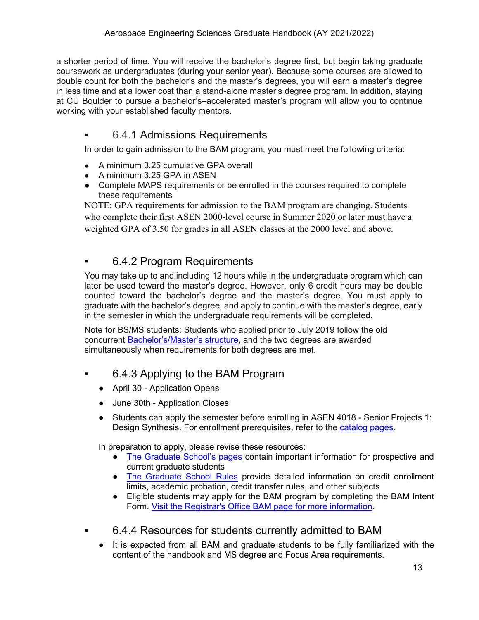a shorter period of time. You will receive the bachelor's degree first, but begin taking graduate coursework as undergraduates (during your senior year). Because some courses are allowed to double count for both the bachelor's and the master's degrees, you will earn a master's degree in less time and at a lower cost than a stand-alone master's degree program. In addition, staying at CU Boulder to pursue a bachelor's–accelerated master's program will allow you to continue working with your established faculty mentors.

#### <span id="page-13-0"></span>6.4.1 Admissions Requirements

In order to gain admission to the BAM program, you must meet the following criteria:

- A minimum 3.25 cumulative GPA overall
- A minimum 3.25 GPA in ASEN
- Complete MAPS requirements or be enrolled in the courses required to complete these requirements

NOTE: GPA requirements for admission to the BAM program are changing. Students who complete their first ASEN 2000-level course in Summer 2020 or later must have a weighted GPA of 3.50 for grades in all ASEN classes at the 2000 level and above.

### <span id="page-13-1"></span>▪ 6.4.2 Program Requirements

You may take up to and including 12 hours while in the undergraduate program which can later be used toward the master's degree. However, only 6 credit hours may be double counted toward the bachelor's degree and the master's degree. You must apply to graduate with the bachelor's degree, and apply to continue with the master's degree, early in the semester in which the undergraduate requirements will be completed.

Note for BS/MS students: Students who applied prior to July 2019 follow the old concurrent **Bachelor's/Master's structure**, and the two degrees are awarded simultaneously when requirements for both degrees are met.

- <span id="page-13-2"></span>6.4.3 Applying to the BAM Program
	- April 30 Application Opens
	- June 30th Application Closes
	- Students can apply the semester before enrolling in ASEN 4018 Senior Projects 1: Design Synthesis. For enrollment prerequisites, refer to the [catalog pages.](https://catalog.colorado.edu/courses-a-z/asen/)

In preparation to apply, please revise these resources:

- [The Graduate School's pages](https://www.colorado.edu/graduateschool/) contain important information for prospective and current graduate students
- [The Graduate School Rules](https://www.colorado.edu/graduateschool/sites/default/files/attached-files/graduate_school_rules_2021.pdf) provide detailed information on credit enrollment limits, academic probation, credit transfer rules, and other subjects
- Eligible students may apply for the BAM program by completing the BAM Intent Form. [Visit the Registrar's Office BAM page for more information.](https://www.colorado.edu/registrar/students/degree-planning/bam-program)
- <span id="page-13-3"></span>▪ 6.4.4 Resources for students currently admitted to BAM
	- It is expected from all BAM and graduate students to be fully familiarized with the content of the handbook and MS degree and Focus Area requirements.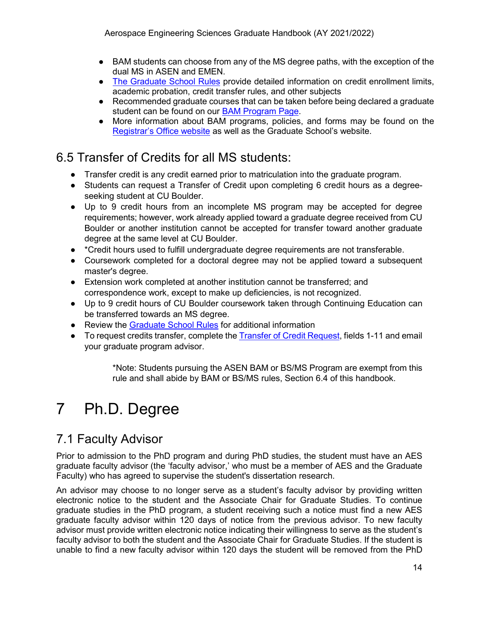- BAM students can choose from any of the MS degree paths, with the exception of the dual MS in ASEN and EMEN.
- [The Graduate School Rules](https://www.colorado.edu/graduateschool/sites/default/files/attached-files/graduate_school_rules_2021.pdf) provide detailed information on credit enrollment limits, academic probation, credit transfer rules, and other subjects
- Recommended graduate courses that can be taken before being declared a graduate student can be found on our [BAM Program Page.](https://www.colorado.edu/aerospace/current-students/undergraduates/bachelors-accelerated-masters)
- More information about BAM programs, policies, and forms may be found on the [Registrar's Office website](https://www.colorado.edu/registrar/students/degree-planning/bam-program) as well as the Graduate School's website.

## <span id="page-14-0"></span>6.5 Transfer of Credits for all MS students:

- Transfer credit is any credit earned prior to matriculation into the graduate program.
- Students can request a Transfer of Credit upon completing 6 credit hours as a degreeseeking student at CU Boulder.
- Up to 9 credit hours from an incomplete MS program may be accepted for degree requirements; however, work already applied toward a graduate degree received from CU Boulder or another institution cannot be accepted for transfer toward another graduate degree at the same level at CU Boulder.
- \*Credit hours used to fulfill undergraduate degree requirements are not transferable.
- Coursework completed for a doctoral degree may not be applied toward a subsequent master's degree.
- Extension work completed at another institution cannot be transferred; and correspondence work, except to make up deficiencies, is not recognized.
- Up to 9 credit hours of CU Boulder coursework taken through Continuing Education can be transferred towards an MS degree.
- Review the [Graduate School Rules](https://www.colorado.edu/graduateschool/sites/default/files/attached-files/graduate_school_rules_2021.pdf) for additional information
- To request credits transfer, complete the [Transfer of Credit Request,](https://www.colorado.edu/graduateschool/sites/default/files/attached-files/transfercredit.pdf) fields 1-11 and email your graduate program advisor.

\*Note: Students pursuing the ASEN BAM or BS/MS Program are exempt from this rule and shall abide by BAM or BS/MS rules, Section 6.4 of this handbook.

# <span id="page-14-1"></span>7 Ph.D. Degree

## <span id="page-14-2"></span>7.1 Faculty Advisor

Prior to admission to the PhD program and during PhD studies, the student must have an AES graduate faculty advisor (the 'faculty advisor,' who must be a member of AES and the Graduate Faculty) who has agreed to supervise the student's dissertation research.

An advisor may choose to no longer serve as a student's faculty advisor by providing written electronic notice to the student and the Associate Chair for Graduate Studies. To continue graduate studies in the PhD program, a student receiving such a notice must find a new AES graduate faculty advisor within 120 days of notice from the previous advisor. To new faculty advisor must provide written electronic notice indicating their willingness to serve as the student's faculty advisor to both the student and the Associate Chair for Graduate Studies. If the student is unable to find a new faculty advisor within 120 days the student will be removed from the PhD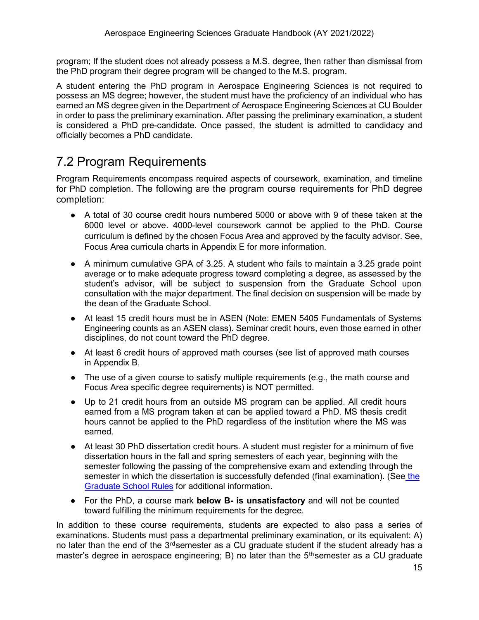program; If the student does not already possess a M.S. degree, then rather than dismissal from the PhD program their degree program will be changed to the M.S. program.

A student entering the PhD program in Aerospace Engineering Sciences is not required to possess an MS degree; however, the student must have the proficiency of an individual who has earned an MS degree given in the Department of Aerospace Engineering Sciences at CU Boulder in order to pass the preliminary examination. After passing the preliminary examination, a student is considered a PhD pre-candidate. Once passed, the student is admitted to candidacy and officially becomes a PhD candidate.

## <span id="page-15-0"></span>7.2 Program Requirements

Program Requirements encompass required aspects of coursework, examination, and timeline for PhD completion. The following are the program course requirements for PhD degree completion:

- A total of 30 course credit hours numbered 5000 or above with 9 of these taken at the 6000 level or above. 4000-level coursework cannot be applied to the PhD. Course curriculum is defined by the chosen Focus Area and approved by the faculty advisor. See, Focus Area curricula charts in Appendix E for more information.
- $\bullet$  A minimum cumulative GPA of 3.25. A student who fails to maintain a 3.25 grade point average or to make adequate progress toward completing a degree, as assessed by the student's advisor, will be subject to suspension from the Graduate School upon consultation with the major department. The final decision on suspension will be made by the dean of the Graduate School.
- At least 15 credit hours must be in ASEN (Note: EMEN 5405 Fundamentals of Systems Engineering counts as an ASEN class). Seminar credit hours, even those earned in other disciplines, do not count toward the PhD degree.
- At least 6 credit hours of approved math courses (see list of approved math courses in Appendix B.
- The use of a given course to satisfy multiple requirements (e.g., the math course and Focus Area specific degree requirements) is NOT permitted.
- Up to 21 credit hours from an outside MS program can be applied. All credit hours earned from a MS program taken at can be applied toward a PhD. MS thesis credit hours cannot be applied to the PhD regardless of the institution where the MS was earned.
- At least 30 PhD dissertation credit hours. A student must register for a minimum of five dissertation hours in the fall and spring semesters of each year, beginning with the semester following the passing of the comprehensive exam and extending through the semester in which the dissertation is successfully defended (final examination). (See [the](https://www.colorado.edu/graduateschool/sites/default/files/attached-files/graduate_school_rules_2021.pdf)  [Graduate School Rules](https://www.colorado.edu/graduateschool/sites/default/files/attached-files/graduate_school_rules_2021.pdf) for additional information.
- For the PhD, a course mark **below B- is unsatisfactory** and will not be counted toward fulfilling the minimum requirements for the degree.

In addition to these course requirements, students are expected to also pass a series of examinations. Students must pass a departmental preliminary examination, or its equivalent: A) no later than the end of the 3<sup>rd</sup>semester as a CU graduate student if the student already has a master's degree in aerospace engineering; B) no later than the 5<sup>th</sup>semester as a CU graduate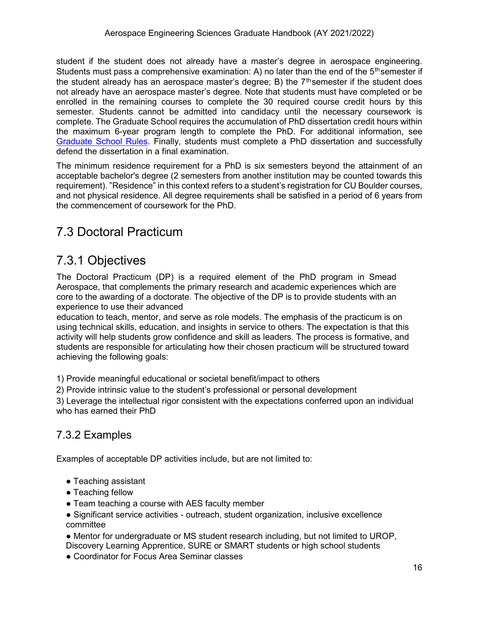student if the student does not already have a master's degree in aerospace engineering. Students must pass a comprehensive examination: A) no later than the end of the 5<sup>th</sup>semester if the student already has an aerospace master's degree; B) the  $7<sup>th</sup>$ semester if the student does not already have an aerospace master's degree. Note that students must have completed or be enrolled in the remaining courses to complete the 30 required course credit hours by this semester. Students cannot be admitted into candidacy until the necessary coursework is complete. The Graduate School requires the accumulation of PhD dissertation credit hours within the maximum 6-year program length to complete the PhD. For additional information, see [Graduate School Rules.](https://www.colorado.edu/graduateschool/sites/default/files/attached-files/graduate_school_rules_2021.pdf) Finally, students must complete a PhD dissertation and successfully defend the dissertation in a final examination.

The minimum residence requirement for a PhD is six semesters beyond the attainment of an acceptable bachelor's degree (2 semesters from another institution may be counted towards this requirement). "Residence" in this context refers to a student's registration for CU Boulder courses, and not physical residence. All degree requirements shall be satisfied in a period of 6 years from the commencement of coursework for the PhD.

## <span id="page-16-0"></span>7.3 Doctoral Practicum

## <span id="page-16-1"></span>7.3.1 Objectives

The Doctoral Practicum (DP) is a required element of the PhD program in Smead Aerospace, that complements the primary research and academic experiences which are core to the awarding of a doctorate. The objective of the DP is to provide students with an experience to use their advanced

education to teach, mentor, and serve as role models. The emphasis of the practicum is on using technical skills, education, and insights in service to others. The expectation is that this activity will help students grow confidence and skill as leaders. The process is formative, and students are responsible for articulating how their chosen practicum will be structured toward achieving the following goals:

1) Provide meaningful educational or societal benefit/impact to others

2) Provide intrinsic value to the student's professional or personal development

3) Leverage the intellectual rigor consistent with the expectations conferred upon an individual who has earned their PhD

## <span id="page-16-2"></span>7.3.2 Examples

Examples of acceptable DP activities include, but are not limited to:

- Teaching assistant
- Teaching fellow
- Team teaching a course with AES faculty member
- Significant service activities outreach, student organization, inclusive excellence committee
- Mentor for undergraduate or MS student research including, but not limited to UROP, Discovery Learning Apprentice, SURE or SMART students or high school students
- Coordinator for Focus Area Seminar classes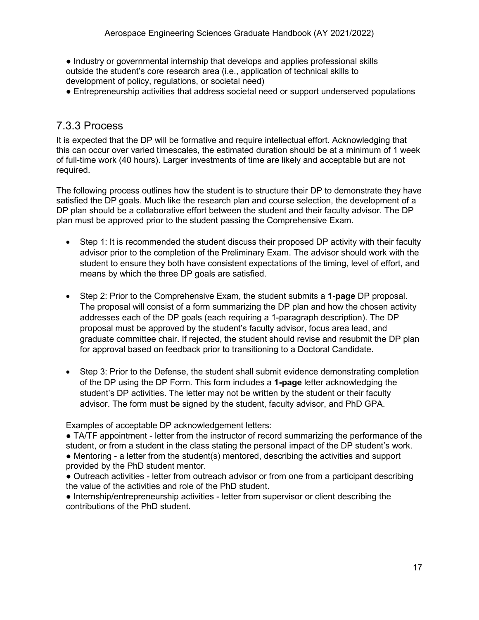● Industry or governmental internship that develops and applies professional skills outside the student's core research area (i.e., application of technical skills to development of policy, regulations, or societal need)

● Entrepreneurship activities that address societal need or support underserved populations

#### <span id="page-17-0"></span>7.3.3 Process

It is expected that the DP will be formative and require intellectual effort. Acknowledging that this can occur over varied timescales, the estimated duration should be at a minimum of 1 week of full-time work (40 hours). Larger investments of time are likely and acceptable but are not required.

The following process outlines how the student is to structure their DP to demonstrate they have satisfied the DP goals. Much like the research plan and course selection, the development of a DP plan should be a collaborative effort between the student and their faculty advisor. The DP plan must be approved prior to the student passing the Comprehensive Exam.

- Step 1: It is recommended the student discuss their proposed DP activity with their faculty advisor prior to the completion of the Preliminary Exam. The advisor should work with the student to ensure they both have consistent expectations of the timing, level of effort, and means by which the three DP goals are satisfied.
- Step 2: Prior to the Comprehensive Exam, the student submits a **1-page** DP proposal. The proposal will consist of a form summarizing the DP plan and how the chosen activity addresses each of the DP goals (each requiring a 1-paragraph description). The DP proposal must be approved by the student's faculty advisor, focus area lead, and graduate committee chair. If rejected, the student should revise and resubmit the DP plan for approval based on feedback prior to transitioning to a Doctoral Candidate.
- Step 3: Prior to the Defense, the student shall submit evidence demonstrating completion of the DP using the DP Form. This form includes a **1-page** letter acknowledging the student's DP activities. The letter may not be written by the student or their faculty advisor. The form must be signed by the student, faculty advisor, and PhD GPA.

Examples of acceptable DP acknowledgement letters:

● TA/TF appointment - letter from the instructor of record summarizing the performance of the student, or from a student in the class stating the personal impact of the DP student's work.  $\bullet$  Mentoring - a letter from the student(s) mentored, describing the activities and support provided by the PhD student mentor.

● Outreach activities - letter from outreach advisor or from one from a participant describing the value of the activities and role of the PhD student.

● Internship/entrepreneurship activities - letter from supervisor or client describing the contributions of the PhD student.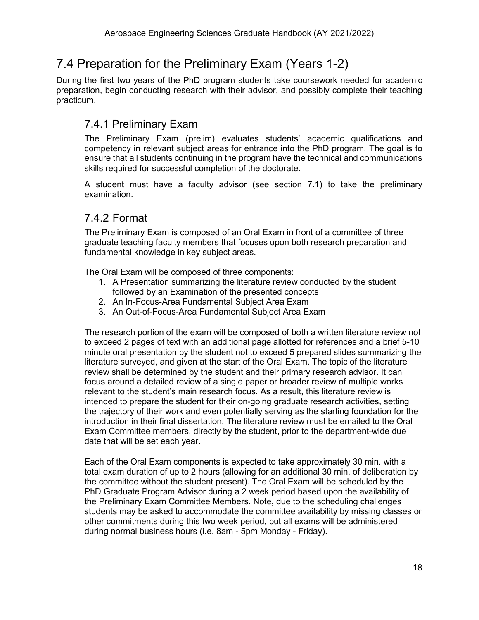## <span id="page-18-0"></span>7.4 Preparation for the Preliminary Exam (Years 1-2)

During the first two years of the PhD program students take coursework needed for academic preparation, begin conducting research with their advisor, and possibly complete their teaching practicum.

### <span id="page-18-1"></span>7.4.1 Preliminary Exam

The Preliminary Exam (prelim) evaluates students' academic qualifications and competency in relevant subject areas for entrance into the PhD program. The goal is to ensure that all students continuing in the program have the technical and communications skills required for successful completion of the doctorate.

A student must have a faculty advisor (see section 7.1) to take the preliminary examination.

### <span id="page-18-2"></span>7.4.2 Format

The Preliminary Exam is composed of an Oral Exam in front of a committee of three graduate teaching faculty members that focuses upon both research preparation and fundamental knowledge in key subject areas.

The Oral Exam will be composed of three components:

- 1. A Presentation summarizing the literature review conducted by the student followed by an Examination of the presented concepts
- 2. An In-Focus-Area Fundamental Subject Area Exam
- 3. An Out-of-Focus-Area Fundamental Subject Area Exam

The research portion of the exam will be composed of both a written literature review not to exceed 2 pages of text with an additional page allotted for references and a brief 5-10 minute oral presentation by the student not to exceed 5 prepared slides summarizing the literature surveyed, and given at the start of the Oral Exam. The topic of the literature review shall be determined by the student and their primary research advisor. It can focus around a detailed review of a single paper or broader review of multiple works relevant to the student's main research focus. As a result, this literature review is intended to prepare the student for their on-going graduate research activities, setting the trajectory of their work and even potentially serving as the starting foundation for the introduction in their final dissertation. The literature review must be emailed to the Oral Exam Committee members, directly by the student, prior to the department-wide due date that will be set each year.

Each of the Oral Exam components is expected to take approximately 30 min. with a total exam duration of up to 2 hours (allowing for an additional 30 min. of deliberation by the committee without the student present). The Oral Exam will be scheduled by the PhD Graduate Program Advisor during a 2 week period based upon the availability of the Preliminary Exam Committee Members. Note, due to the scheduling challenges students may be asked to accommodate the committee availability by missing classes or other commitments during this two week period, but all exams will be administered during normal business hours (i.e. 8am - 5pm Monday - Friday).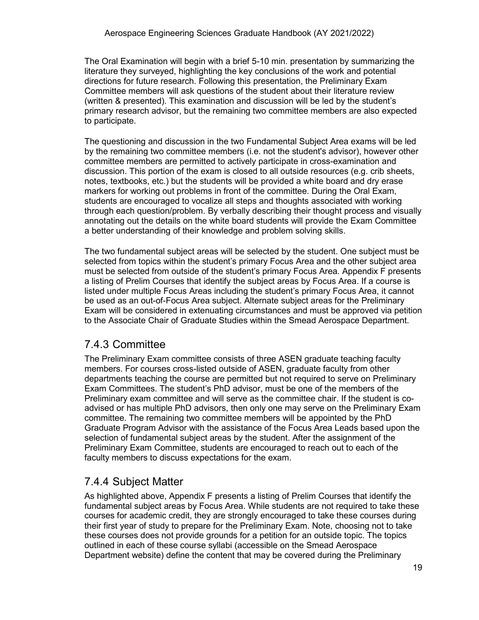The Oral Examination will begin with a brief 5-10 min. presentation by summarizing the literature they surveyed, highlighting the key conclusions of the work and potential directions for future research. Following this presentation, the Preliminary Exam Committee members will ask questions of the student about their literature review (written & presented). This examination and discussion will be led by the student's primary research advisor, but the remaining two committee members are also expected to participate.

The questioning and discussion in the two Fundamental Subject Area exams will be led by the remaining two committee members (i.e. not the student's advisor), however other committee members are permitted to actively participate in cross-examination and discussion. This portion of the exam is closed to all outside resources (e.g. crib sheets, notes, textbooks, etc.) but the students will be provided a white board and dry erase markers for working out problems in front of the committee. During the Oral Exam, students are encouraged to vocalize all steps and thoughts associated with working through each question/problem. By verbally describing their thought process and visually annotating out the details on the white board students will provide the Exam Committee a better understanding of their knowledge and problem solving skills.

The two fundamental subject areas will be selected by the student. One subject must be selected from topics within the student's primary Focus Area and the other subject area must be selected from outside of the student's primary Focus Area. Appendix F presents a listing of Prelim Courses that identify the subject areas by Focus Area. If a course is listed under multiple Focus Areas including the student's primary Focus Area, it cannot be used as an out-of-Focus Area subject. Alternate subject areas for the Preliminary Exam will be considered in extenuating circumstances and must be approved via petition to the Associate Chair of Graduate Studies within the Smead Aerospace Department.

#### <span id="page-19-0"></span>7.4.3 Committee

The Preliminary Exam committee consists of three ASEN graduate teaching faculty members. For courses cross-listed outside of ASEN, graduate faculty from other departments teaching the course are permitted but not required to serve on Preliminary Exam Committees. The student's PhD advisor, must be one of the members of the Preliminary exam committee and will serve as the committee chair. If the student is coadvised or has multiple PhD advisors, then only one may serve on the Preliminary Exam committee. The remaining two committee members will be appointed by the PhD Graduate Program Advisor with the assistance of the Focus Area Leads based upon the selection of fundamental subject areas by the student. After the assignment of the Preliminary Exam Committee, students are encouraged to reach out to each of the faculty members to discuss expectations for the exam.

### <span id="page-19-1"></span>7.4.4 Subject Matter

As highlighted above, Appendix F presents a listing of Prelim Courses that identify the fundamental subject areas by Focus Area. While students are not required to take these courses for academic credit, they are strongly encouraged to take these courses during their first year of study to prepare for the Preliminary Exam. Note, choosing not to take these courses does not provide grounds for a petition for an outside topic. The topics outlined in each of these course syllabi (accessible on the Smead Aerospace Department website) define the content that may be covered during the Preliminary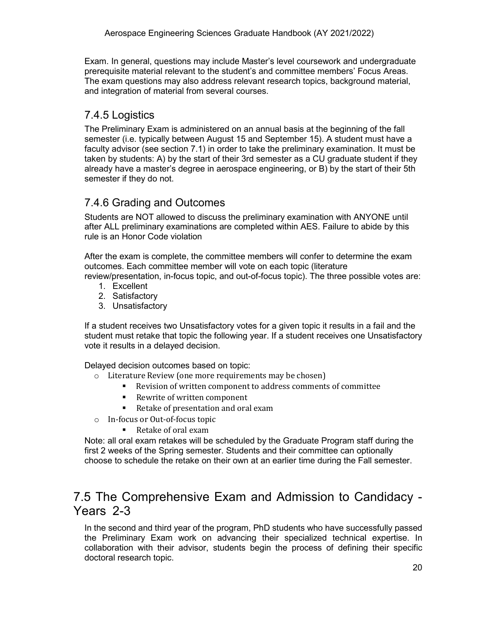Exam. In general, questions may include Master's level coursework and undergraduate prerequisite material relevant to the student's and committee members' Focus Areas. The exam questions may also address relevant research topics, background material, and integration of material from several courses.

### <span id="page-20-0"></span>7.4.5 Logistics

The Preliminary Exam is administered on an annual basis at the beginning of the fall semester (i.e. typically between August 15 and September 15). A student must have a faculty advisor (see section 7.1) in order to take the preliminary examination. It must be taken by students: A) by the start of their 3rd semester as a CU graduate student if they already have a master's degree in aerospace engineering, or B) by the start of their 5th semester if they do not.

### <span id="page-20-1"></span>7.4.6 Grading and Outcomes

Students are NOT allowed to discuss the preliminary examination with ANYONE until after ALL preliminary examinations are completed within AES. Failure to abide by this rule is an Honor Code violation

After the exam is complete, the committee members will confer to determine the exam outcomes. Each committee member will vote on each topic (literature review/presentation, in-focus topic, and out-of-focus topic). The three possible votes are:

- 1. Excellent
- 2. Satisfactory
- 3. Unsatisfactory

If a student receives two Unsatisfactory votes for a given topic it results in a fail and the student must retake that topic the following year. If a student receives one Unsatisfactory vote it results in a delayed decision.

Delayed decision outcomes based on topic:

- o Literature Review (one more requirements may be chosen)
	- Revision of written component to address comments of committee
	- Rewrite of written component
	- Retake of presentation and oral exam
- o In-focus or Out-of-focus topic
	- Retake of oral exam

Note: all oral exam retakes will be scheduled by the Graduate Program staff during the first 2 weeks of the Spring semester. Students and their committee can optionally choose to schedule the retake on their own at an earlier time during the Fall semester.

## <span id="page-20-2"></span>7.5 The Comprehensive Exam and Admission to Candidacy - Years 2-3

In the second and third year of the program, PhD students who have successfully passed the Preliminary Exam work on advancing their specialized technical expertise. In collaboration with their advisor, students begin the process of defining their specific doctoral research topic.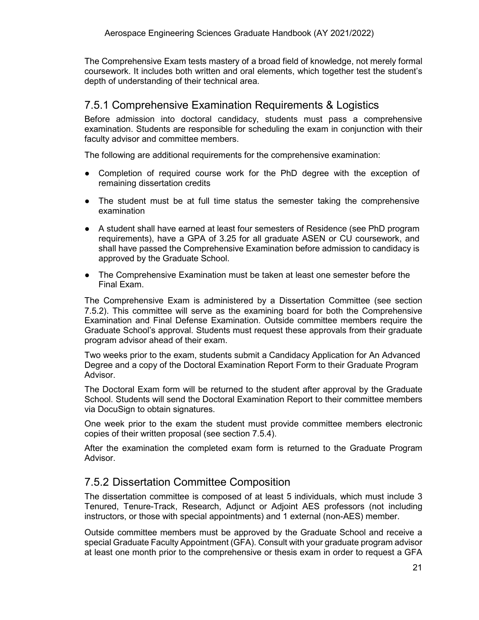The Comprehensive Exam tests mastery of a broad field of knowledge, not merely formal coursework. It includes both written and oral elements, which together test the student's depth of understanding of their technical area.

#### <span id="page-21-0"></span>7.5.1 Comprehensive Examination Requirements & Logistics

Before admission into doctoral candidacy, students must pass a comprehensive examination. Students are responsible for scheduling the exam in conjunction with their faculty advisor and committee members.

The following are additional requirements for the comprehensive examination:

- Completion of required course work for the PhD degree with the exception of remaining dissertation credits
- The student must be at full time status the semester taking the comprehensive examination
- A student shall have earned at least four semesters of Residence (see PhD program requirements), have a GPA of 3.25 for all graduate ASEN or CU coursework, and shall have passed the Comprehensive Examination before admission to candidacy is approved by the Graduate School.
- The Comprehensive Examination must be taken at least one semester before the Final Exam.

The Comprehensive Exam is administered by a Dissertation Committee (see section 7.5.2). This committee will serve as the examining board for both the Comprehensive Examination and Final Defense Examination. Outside committee members require the Graduate School's approval. Students must request these approvals from their graduate program advisor ahead of their exam.

Two weeks prior to the exam, students submit a Candidacy Application for An Advanced Degree and a copy of the Doctoral Examination Report Form to their Graduate Program Advisor.

The Doctoral Exam form will be returned to the student after approval by the Graduate School. Students will send the Doctoral Examination Report to their committee members via DocuSign to obtain signatures.

One week prior to the exam the student must provide committee members electronic copies of their written proposal (see section 7.5.4).

After the examination the completed exam form is returned to the Graduate Program Advisor.

#### <span id="page-21-1"></span>7.5.2 Dissertation Committee Composition

The dissertation committee is composed of at least 5 individuals, which must include 3 Tenured, Tenure-Track, Research, Adjunct or Adjoint AES professors (not including instructors, or those with special appointments) and 1 external (non-AES) member.

Outside committee members must be approved by the Graduate School and receive a special Graduate Faculty Appointment (GFA). Consult with your graduate program advisor at least one month prior to the comprehensive or thesis exam in order to request a GFA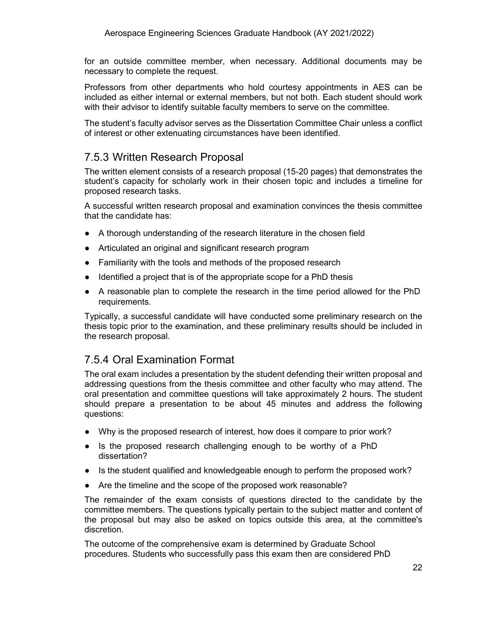for an outside committee member, when necessary. Additional documents may be necessary to complete the request.

Professors from other departments who hold courtesy appointments in AES can be included as either internal or external members, but not both. Each student should work with their advisor to identify suitable faculty members to serve on the committee.

The student's faculty advisor serves as the Dissertation Committee Chair unless a conflict of interest or other extenuating circumstances have been identified.

#### <span id="page-22-0"></span>7.5.3 Written Research Proposal

The written element consists of a research proposal (15-20 pages) that demonstrates the student's capacity for scholarly work in their chosen topic and includes a timeline for proposed research tasks.

A successful written research proposal and examination convinces the thesis committee that the candidate has:

- A thorough understanding of the research literature in the chosen field
- Articulated an original and significant research program
- Familiarity with the tools and methods of the proposed research
- Identified a project that is of the appropriate scope for a PhD thesis
- A reasonable plan to complete the research in the time period allowed for the PhD requirements.

Typically, a successful candidate will have conducted some preliminary research on the thesis topic prior to the examination, and these preliminary results should be included in the research proposal.

#### <span id="page-22-1"></span>7.5.4 Oral Examination Format

The oral exam includes a presentation by the student defending their written proposal and addressing questions from the thesis committee and other faculty who may attend. The oral presentation and committee questions will take approximately 2 hours. The student should prepare a presentation to be about 45 minutes and address the following questions:

- Why is the proposed research of interest, how does it compare to prior work?
- Is the proposed research challenging enough to be worthy of a PhD dissertation?
- Is the student qualified and knowledgeable enough to perform the proposed work?
- Are the timeline and the scope of the proposed work reasonable?

The remainder of the exam consists of questions directed to the candidate by the committee members. The questions typically pertain to the subject matter and content of the proposal but may also be asked on topics outside this area, at the committee's discretion.

The outcome of the comprehensive exam is determined by Graduate School procedures. Students who successfully pass this exam then are considered PhD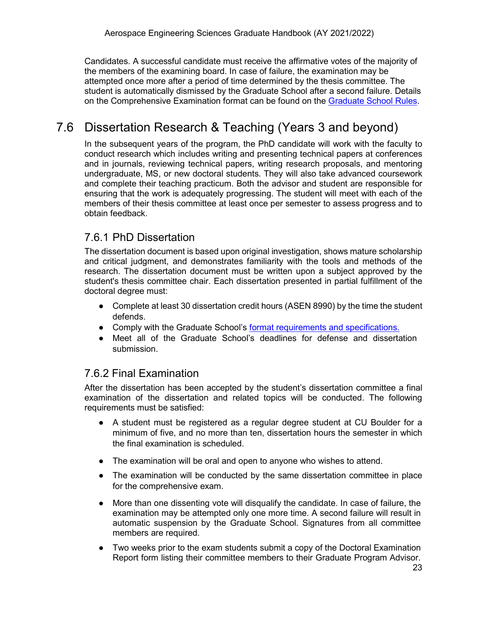Candidates. A successful candidate must receive the affirmative votes of the majority of the members of the examining board. In case of failure, the examination may be attempted once more after a period of time determined by the thesis committee. The student is automatically dismissed by the Graduate School after a second failure. Details on the Comprehensive Examination format can be found on the [Graduate School Rules.](https://www.colorado.edu/graduateschool/sites/default/files/attached-files/graduate_school_rules_2021.pdf)

## <span id="page-23-0"></span>7.6 Dissertation Research & Teaching (Years 3 and beyond)

In the subsequent years of the program, the PhD candidate will work with the faculty to conduct research which includes writing and presenting technical papers at conferences and in journals, reviewing technical papers, writing research proposals, and mentoring undergraduate, MS, or new doctoral students. They will also take advanced coursework and complete their teaching practicum. Both the advisor and student are responsible for ensuring that the work is adequately progressing. The student will meet with each of the members of their thesis committee at least once per semester to assess progress and to obtain feedback.

### <span id="page-23-1"></span>7.6.1 PhD Dissertation

The dissertation document is based upon original investigation, shows mature scholarship and critical judgment, and demonstrates familiarity with the tools and methods of the research. The dissertation document must be written upon a subject approved by the student's thesis committee chair. Each dissertation presented in partial fulfillment of the doctoral degree must:

- Complete at least 30 dissertation credit hours (ASEN 8990) by the time the student defends.
- Comply with the Graduate School's [format requirements and specifications.](https://www.colorado.edu/graduateschool/academic-resources/thesis-dissertation-submission)
- Meet all of the Graduate School's deadlines for defense and dissertation submission.

#### <span id="page-23-2"></span>7.6.2 Final Examination

After the dissertation has been accepted by the student's dissertation committee a final examination of the dissertation and related topics will be conducted. The following requirements must be satisfied:

- A student must be registered as a regular degree student at CU Boulder for a minimum of five, and no more than ten, dissertation hours the semester in which the final examination is scheduled.
- The examination will be oral and open to anyone who wishes to attend.
- The examination will be conducted by the same dissertation committee in place for the comprehensive exam.
- More than one dissenting vote will disqualify the candidate. In case of failure, the examination may be attempted only one more time. A second failure will result in automatic suspension by the Graduate School. Signatures from all committee members are required.
- Two weeks prior to the exam students submit a copy of the Doctoral Examination Report form listing their committee members to their Graduate Program Advisor.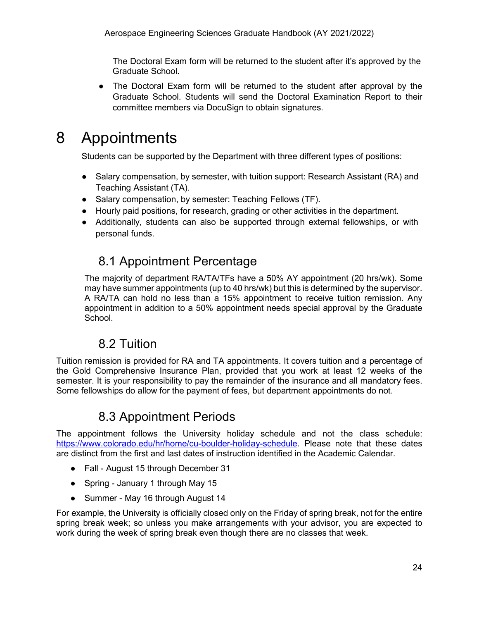The Doctoral Exam form will be returned to the student after it's approved by the Graduate School.

● The Doctoral Exam form will be returned to the student after approval by the Graduate School. Students will send the Doctoral Examination Report to their committee members via DocuSign to obtain signatures.

## <span id="page-24-0"></span>8 Appointments

Students can be supported by the Department with three different types of positions:

- Salary compensation, by semester, with tuition support: Research Assistant (RA) and Teaching Assistant (TA).
- Salary compensation, by semester: Teaching Fellows (TF).
- Hourly paid positions, for research, grading or other activities in the department.
- <span id="page-24-1"></span>• Additionally, students can also be supported through external fellowships, or with personal funds.

## 8.1 Appointment Percentage

The majority of department RA/TA/TFs have a 50% AY appointment (20 hrs/wk). Some may have summer appointments (up to 40 hrs/wk) but this is determined by the supervisor. A RA/TA can hold no less than a 15% appointment to receive tuition remission. Any appointment in addition to a 50% appointment needs special approval by the Graduate School.

## 8.2 Tuition

<span id="page-24-2"></span>Tuition remission is provided for RA and TA appointments. It covers tuition and a percentage of the Gold Comprehensive Insurance Plan, provided that you work at least 12 weeks of the semester. It is your responsibility to pay the remainder of the insurance and all mandatory fees. Some fellowships do allow for the payment of fees, but department appointments do not.

## 8.3 Appointment Periods

<span id="page-24-3"></span>The appointment follows the University holiday schedule and not the class schedule: [https://www.colorado.edu/hr/home/cu-boulder-holiday-schedule.](https://www.colorado.edu/hr/home/cu-boulder-holiday-schedule) Please note that these dates are distinct from the first and last dates of instruction identified in the Academic Calendar.

- Fall August 15 through December 31
- Spring January 1 through May 15
- Summer May 16 through August 14

For example, the University is officially closed only on the Friday of spring break, not for the entire spring break week; so unless you make arrangements with your advisor, you are expected to work during the week of spring break even though there are no classes that week.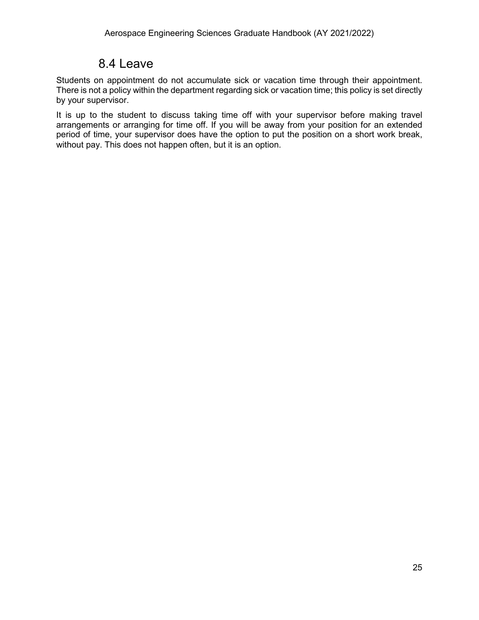## 8.4 Leave

<span id="page-25-0"></span>Students on appointment do not accumulate sick or vacation time through their appointment. There is not a policy within the department regarding sick or vacation time; this policy is set directly by your supervisor.

It is up to the student to discuss taking time off with your supervisor before making travel arrangements or arranging for time off. If you will be away from your position for an extended period of time, your supervisor does have the option to put the position on a short work break, without pay. This does not happen often, but it is an option.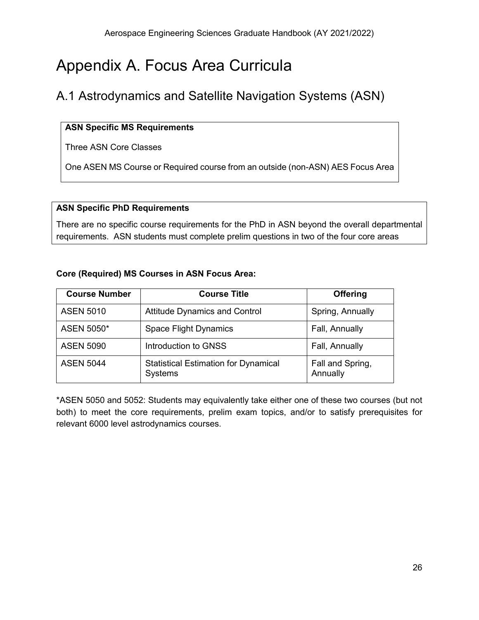## <span id="page-26-0"></span>Appendix A. Focus Area Curricula

## <span id="page-26-1"></span>A.1 Astrodynamics and Satellite Navigation Systems (ASN)

#### **ASN Specific MS Requirements**

Three ASN Core Classes

One ASEN MS Course or Required course from an outside (non-ASN) AES Focus Area

#### **ASN Specific PhD Requirements**

There are no specific course requirements for the PhD in ASN beyond the overall departmental requirements. ASN students must complete prelim questions in two of the four core areas

#### **Core (Required) MS Courses in ASN Focus Area:**

| <b>Course Number</b> | <b>Course Title</b>                                    | <b>Offering</b>              |
|----------------------|--------------------------------------------------------|------------------------------|
| <b>ASEN 5010</b>     | <b>Attitude Dynamics and Control</b>                   | Spring, Annually             |
| ASEN 5050*           | <b>Space Flight Dynamics</b>                           | Fall, Annually               |
| <b>ASEN 5090</b>     | Introduction to GNSS                                   | Fall, Annually               |
| <b>ASEN 5044</b>     | <b>Statistical Estimation for Dynamical</b><br>Systems | Fall and Spring,<br>Annually |

\*ASEN 5050 and 5052: Students may equivalently take either one of these two courses (but not both) to meet the core requirements, prelim exam topics, and/or to satisfy prerequisites for relevant 6000 level astrodynamics courses.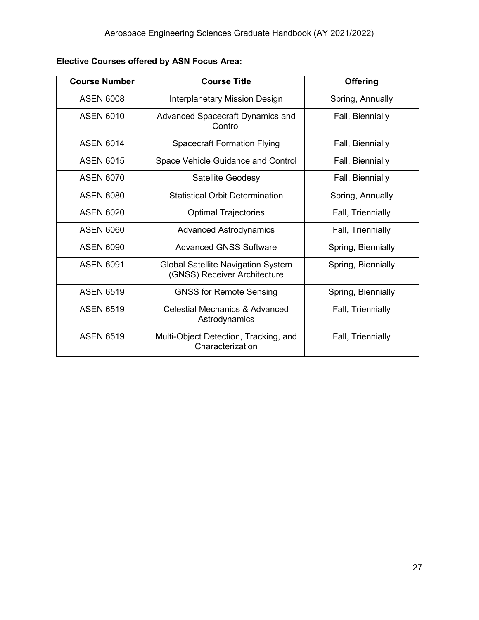| <b>Course Number</b> | <b>Course Title</b>                                                       | <b>Offering</b>    |
|----------------------|---------------------------------------------------------------------------|--------------------|
| <b>ASEN 6008</b>     | Interplanetary Mission Design                                             | Spring, Annually   |
| <b>ASEN 6010</b>     | Advanced Spacecraft Dynamics and<br>Control                               | Fall, Biennially   |
| <b>ASEN 6014</b>     | <b>Spacecraft Formation Flying</b>                                        | Fall, Biennially   |
| <b>ASEN 6015</b>     | Space Vehicle Guidance and Control                                        | Fall, Biennially   |
| <b>ASEN 6070</b>     | <b>Satellite Geodesy</b>                                                  | Fall, Biennially   |
| <b>ASEN 6080</b>     | <b>Statistical Orbit Determination</b>                                    | Spring, Annually   |
| <b>ASEN 6020</b>     | <b>Optimal Trajectories</b>                                               | Fall, Triennially  |
| <b>ASEN 6060</b>     | <b>Advanced Astrodynamics</b>                                             | Fall, Triennially  |
| <b>ASEN 6090</b>     | <b>Advanced GNSS Software</b>                                             | Spring, Biennially |
| <b>ASEN 6091</b>     | <b>Global Satellite Navigation System</b><br>(GNSS) Receiver Architecture | Spring, Biennially |
| <b>ASEN 6519</b>     | <b>GNSS for Remote Sensing</b>                                            | Spring, Biennially |
| <b>ASEN 6519</b>     | Celestial Mechanics & Advanced<br>Astrodynamics                           | Fall, Triennially  |
| <b>ASEN 6519</b>     | Multi-Object Detection, Tracking, and<br>Characterization                 | Fall, Triennially  |

**Elective Courses offered by ASN Focus Area:**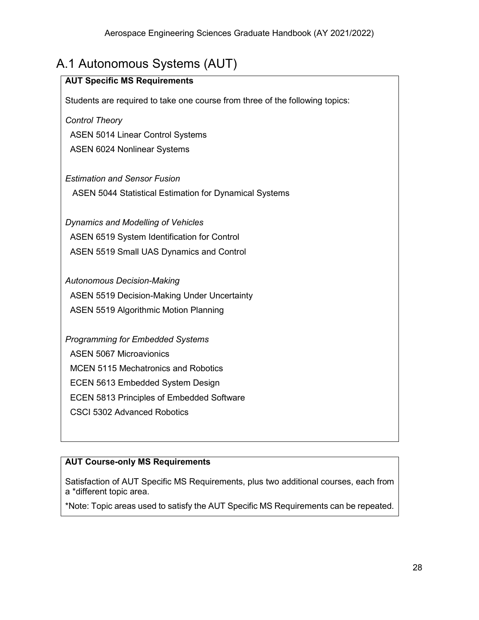## <span id="page-28-0"></span>A.1 Autonomous Systems (AUT)

| <b>AUT Specific MS Requirements</b>                                          |
|------------------------------------------------------------------------------|
| Students are required to take one course from three of the following topics: |
| <b>Control Theory</b>                                                        |
| <b>ASEN 5014 Linear Control Systems</b>                                      |
| <b>ASEN 6024 Nonlinear Systems</b>                                           |
|                                                                              |
| <b>Estimation and Sensor Fusion</b>                                          |
| <b>ASEN 5044 Statistical Estimation for Dynamical Systems</b>                |
|                                                                              |
| Dynamics and Modelling of Vehicles                                           |
| <b>ASEN 6519 System Identification for Control</b>                           |
| ASEN 5519 Small UAS Dynamics and Control                                     |
|                                                                              |
| <b>Autonomous Decision-Making</b>                                            |
| <b>ASEN 5519 Decision-Making Under Uncertainty</b>                           |
| <b>ASEN 5519 Algorithmic Motion Planning</b>                                 |
| <b>Programming for Embedded Systems</b>                                      |
|                                                                              |
| <b>ASEN 5067 Microavionics</b>                                               |
| <b>MCEN 5115 Mechatronics and Robotics</b>                                   |
| ECEN 5613 Embedded System Design                                             |
| <b>ECEN 5813 Principles of Embedded Software</b>                             |
| <b>CSCI 5302 Advanced Robotics</b>                                           |
|                                                                              |

#### **AUT Course-only MS Requirements**

Satisfaction of AUT Specific MS Requirements, plus two additional courses, each from a \*different topic area.

\*Note: Topic areas used to satisfy the AUT Specific MS Requirements can be repeated.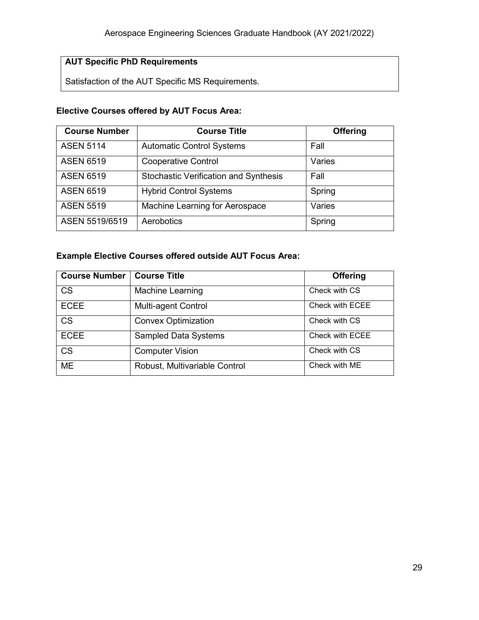#### **AUT Specific PhD Requirements**

Satisfaction of the AUT Specific MS Requirements.

#### **Elective Courses offered by AUT Focus Area:**

| <b>Course Number</b> | <b>Course Title</b>                          | <b>Offering</b> |
|----------------------|----------------------------------------------|-----------------|
| <b>ASEN 5114</b>     | <b>Automatic Control Systems</b>             | Fall            |
| <b>ASEN 6519</b>     | <b>Cooperative Control</b>                   | Varies          |
| <b>ASEN 6519</b>     | <b>Stochastic Verification and Synthesis</b> | Fall            |
| <b>ASEN 6519</b>     | <b>Hybrid Control Systems</b>                | Spring          |
| <b>ASEN 5519</b>     | Machine Learning for Aerospace               | Varies          |
| ASEN 5519/6519       | Aerobotics                                   | Spring          |

#### **Example Elective Courses offered outside AUT Focus Area:**

| <b>Course Number</b> | <b>Course Title</b>           | <b>Offering</b> |
|----------------------|-------------------------------|-----------------|
| <b>CS</b>            | <b>Machine Learning</b>       | Check with CS   |
| <b>ECEE</b>          | <b>Multi-agent Control</b>    | Check with ECEE |
| <b>CS</b>            | <b>Convex Optimization</b>    | Check with CS   |
| <b>ECEE</b>          | <b>Sampled Data Systems</b>   | Check with ECEE |
| <b>CS</b>            | <b>Computer Vision</b>        | Check with CS   |
| <b>ME</b>            | Robust, Multivariable Control | Check with ME   |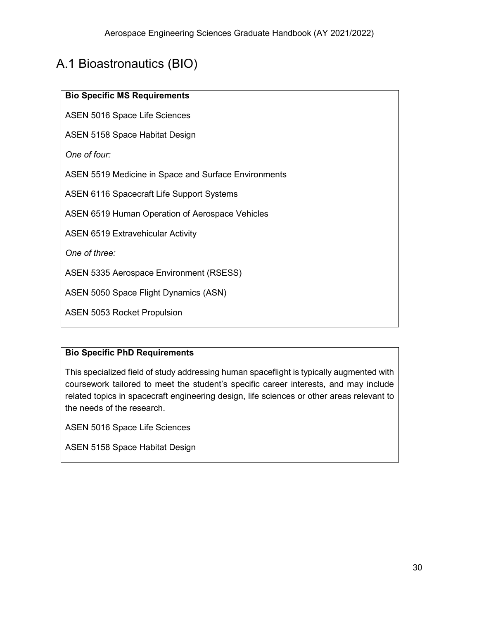## <span id="page-30-0"></span>A.1 Bioastronautics (BIO)

#### **Bio Specific MS Requirements**

ASEN 5016 Space Life Sciences

ASEN 5158 Space Habitat Design

*One of four:* 

ASEN 5519 Medicine in Space and Surface Environments

ASEN 6116 Spacecraft Life Support Systems

ASEN 6519 Human Operation of Aerospace Vehicles

ASEN 6519 Extravehicular Activity

*One of three:*

ASEN 5335 Aerospace Environment (RSESS)

ASEN 5050 Space Flight Dynamics (ASN)

ASEN 5053 Rocket Propulsion

#### **Bio Specific PhD Requirements**

This specialized field of study addressing human spaceflight is typically augmented with coursework tailored to meet the student's specific career interests, and may include related topics in spacecraft engineering design, life sciences or other areas relevant to the needs of the research.

ASEN 5016 Space Life Sciences

ASEN 5158 Space Habitat Design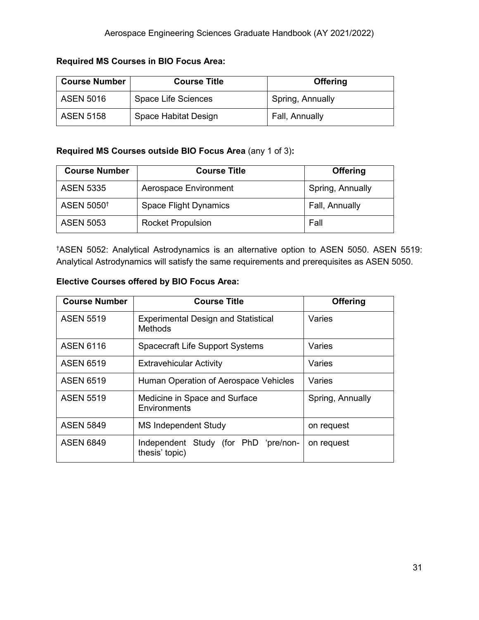#### **Required MS Courses in BIO Focus Area:**

| <b>Course Number</b> | <b>Course Title</b>  | <b>Offering</b>  |
|----------------------|----------------------|------------------|
| <b>ASEN 5016</b>     | Space Life Sciences  | Spring, Annually |
| <b>ASEN 5158</b>     | Space Habitat Design | Fall, Annually   |

#### **Required MS Courses outside BIO Focus Area** (any 1 of 3)**:**

| <b>Course Number</b>   | <b>Course Title</b>      | <b>Offering</b>  |
|------------------------|--------------------------|------------------|
| <b>ASEN 5335</b>       | Aerospace Environment    | Spring, Annually |
| ASEN 5050 <sup>+</sup> | Space Flight Dynamics    | Fall, Annually   |
| <b>ASEN 5053</b>       | <b>Rocket Propulsion</b> | Fall             |

† ASEN 5052: Analytical Astrodynamics is an alternative option to ASEN 5050. ASEN 5519: Analytical Astrodynamics will satisfy the same requirements and prerequisites as ASEN 5050.

#### **Elective Courses offered by BIO Focus Area:**

| <b>Course Number</b> | <b>Course Title</b>                                          | <b>Offering</b>  |
|----------------------|--------------------------------------------------------------|------------------|
| <b>ASEN 5519</b>     | <b>Experimental Design and Statistical</b><br><b>Methods</b> | Varies           |
| <b>ASEN 6116</b>     | <b>Spacecraft Life Support Systems</b>                       | Varies           |
| <b>ASEN 6519</b>     | <b>Extravehicular Activity</b>                               | Varies           |
| <b>ASEN 6519</b>     | Human Operation of Aerospace Vehicles                        | Varies           |
| <b>ASEN 5519</b>     | Medicine in Space and Surface<br><b>Environments</b>         | Spring, Annually |
| <b>ASEN 5849</b>     | <b>MS Independent Study</b>                                  | on request       |
| <b>ASEN 6849</b>     | Independent Study (for PhD 'pre/non-<br>thesis' topic)       | on request       |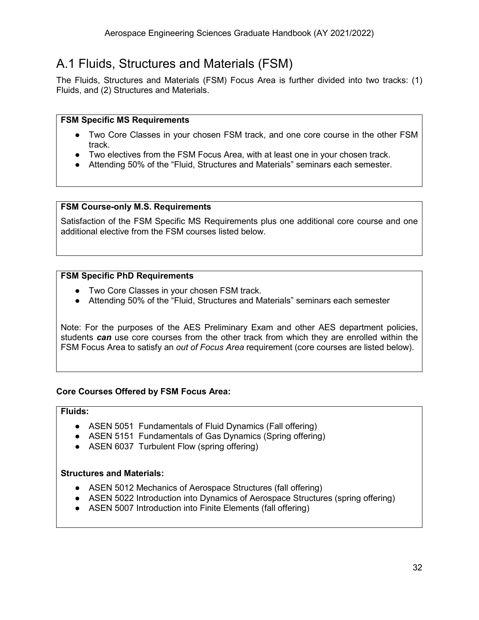## <span id="page-32-0"></span>A.1 Fluids, Structures and Materials (FSM)

The Fluids, Structures and Materials (FSM) Focus Area is further divided into two tracks: (1) Fluids, and (2) Structures and Materials.

#### **FSM Specific MS Requirements**

- Two Core Classes in your chosen FSM track, and one core course in the other FSM track.
- Two electives from the FSM Focus Area, with at least one in your chosen track.
- Attending 50% of the "Fluid, Structures and Materials" seminars each semester.

#### **FSM Course-only M.S. Requirements**

Satisfaction of the FSM Specific MS Requirements plus one additional core course and one additional elective from the FSM courses listed below.

#### **FSM Specific PhD Requirements**

- Two Core Classes in your chosen FSM track.
- Attending 50% of the "Fluid, Structures and Materials" seminars each semester

Note: For the purposes of the AES Preliminary Exam and other AES department policies, students *can* use core courses from the other track from which they are enrolled within the FSM Focus Area to satisfy an *out of Focus Area* requirement (core courses are listed below).

#### **Core Courses Offered by FSM Focus Area:**

#### **Fluids:**

- ASEN 5051 Fundamentals of Fluid Dynamics (Fall offering)
- ASEN 5151 Fundamentals of Gas Dynamics (Spring offering)
- ASEN 6037 Turbulent Flow (spring offering)

#### **Structures and Materials:**

- ASEN 5012 Mechanics of Aerospace Structures (fall offering)
- ASEN 5022 Introduction into Dynamics of Aerospace Structures (spring offering)
- ASEN 5007 Introduction into Finite Elements (fall offering)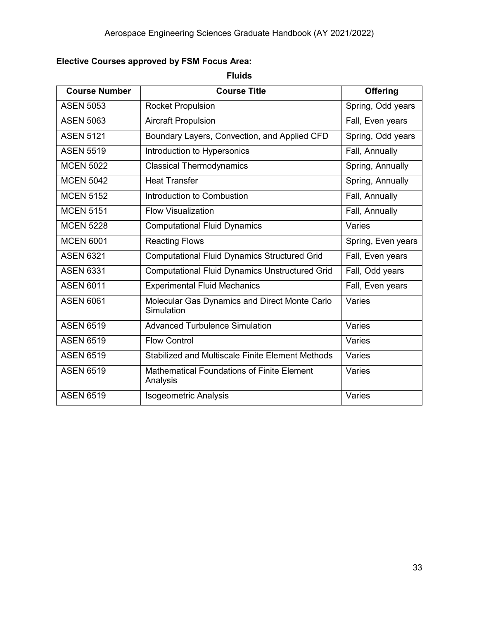### **Elective Courses approved by FSM Focus Area:**

**Fluids**

| <b>Course Number</b> | <b>Course Title</b>                                           | <b>Offering</b>    |
|----------------------|---------------------------------------------------------------|--------------------|
| <b>ASEN 5053</b>     | <b>Rocket Propulsion</b>                                      | Spring, Odd years  |
| <b>ASEN 5063</b>     | <b>Aircraft Propulsion</b>                                    | Fall, Even years   |
| <b>ASEN 5121</b>     | Boundary Layers, Convection, and Applied CFD                  | Spring, Odd years  |
| <b>ASEN 5519</b>     | Introduction to Hypersonics                                   | Fall, Annually     |
| <b>MCEN 5022</b>     | <b>Classical Thermodynamics</b>                               | Spring, Annually   |
| <b>MCEN 5042</b>     | <b>Heat Transfer</b>                                          | Spring, Annually   |
| <b>MCEN 5152</b>     | Introduction to Combustion                                    | Fall, Annually     |
| <b>MCEN 5151</b>     | <b>Flow Visualization</b>                                     | Fall, Annually     |
| <b>MCEN 5228</b>     | <b>Computational Fluid Dynamics</b>                           | Varies             |
| <b>MCEN 6001</b>     | <b>Reacting Flows</b>                                         | Spring, Even years |
| <b>ASEN 6321</b>     | <b>Computational Fluid Dynamics Structured Grid</b>           | Fall, Even years   |
| <b>ASEN 6331</b>     | <b>Computational Fluid Dynamics Unstructured Grid</b>         | Fall, Odd years    |
| <b>ASEN 6011</b>     | <b>Experimental Fluid Mechanics</b>                           | Fall, Even years   |
| <b>ASEN 6061</b>     | Molecular Gas Dynamics and Direct Monte Carlo<br>Simulation   | Varies             |
| <b>ASEN 6519</b>     | <b>Advanced Turbulence Simulation</b>                         | Varies             |
| <b>ASEN 6519</b>     | <b>Flow Control</b>                                           | Varies             |
| <b>ASEN 6519</b>     | Stabilized and Multiscale Finite Element Methods              | Varies             |
| <b>ASEN 6519</b>     | <b>Mathematical Foundations of Finite Element</b><br>Analysis | Varies             |
| <b>ASEN 6519</b>     | <b>Isogeometric Analysis</b>                                  | Varies             |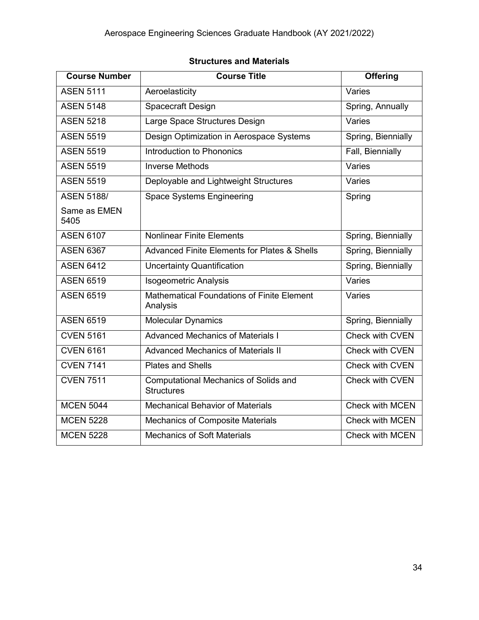#### **Structures and Materials**

| <b>Course Number</b> | <b>Course Title</b>                                               | Offering               |
|----------------------|-------------------------------------------------------------------|------------------------|
| <b>ASEN 5111</b>     | Aeroelasticity                                                    | Varies                 |
| <b>ASEN 5148</b>     | Spacecraft Design                                                 | Spring, Annually       |
| <b>ASEN 5218</b>     | Large Space Structures Design                                     | Varies                 |
| <b>ASEN 5519</b>     | Design Optimization in Aerospace Systems                          | Spring, Biennially     |
| <b>ASEN 5519</b>     | Introduction to Phononics                                         | Fall, Biennially       |
| <b>ASEN 5519</b>     | <b>Inverse Methods</b>                                            | Varies                 |
| <b>ASEN 5519</b>     | Deployable and Lightweight Structures                             | Varies                 |
| <b>ASEN 5188/</b>    | <b>Space Systems Engineering</b>                                  | Spring                 |
| Same as EMEN<br>5405 |                                                                   |                        |
| <b>ASEN 6107</b>     | <b>Nonlinear Finite Elements</b>                                  | Spring, Biennially     |
| <b>ASEN 6367</b>     | <b>Advanced Finite Elements for Plates &amp; Shells</b>           | Spring, Biennially     |
| <b>ASEN 6412</b>     | <b>Uncertainty Quantification</b>                                 | Spring, Biennially     |
| <b>ASEN 6519</b>     | <b>Isogeometric Analysis</b>                                      | Varies                 |
| <b>ASEN 6519</b>     | <b>Mathematical Foundations of Finite Element</b><br>Analysis     | Varies                 |
| <b>ASEN 6519</b>     | <b>Molecular Dynamics</b>                                         | Spring, Biennially     |
| <b>CVEN 5161</b>     | <b>Advanced Mechanics of Materials I</b>                          | Check with CVEN        |
| <b>CVEN 6161</b>     | <b>Advanced Mechanics of Materials II</b>                         | <b>Check with CVEN</b> |
| <b>CVEN 7141</b>     | <b>Plates and Shells</b>                                          | Check with CVEN        |
| <b>CVEN 7511</b>     | <b>Computational Mechanics of Solids and</b><br><b>Structures</b> | <b>Check with CVEN</b> |
| <b>MCEN 5044</b>     | <b>Mechanical Behavior of Materials</b>                           | <b>Check with MCEN</b> |
| <b>MCEN 5228</b>     | <b>Mechanics of Composite Materials</b>                           | Check with MCEN        |
| <b>MCEN 5228</b>     | <b>Mechanics of Soft Materials</b>                                | <b>Check with MCEN</b> |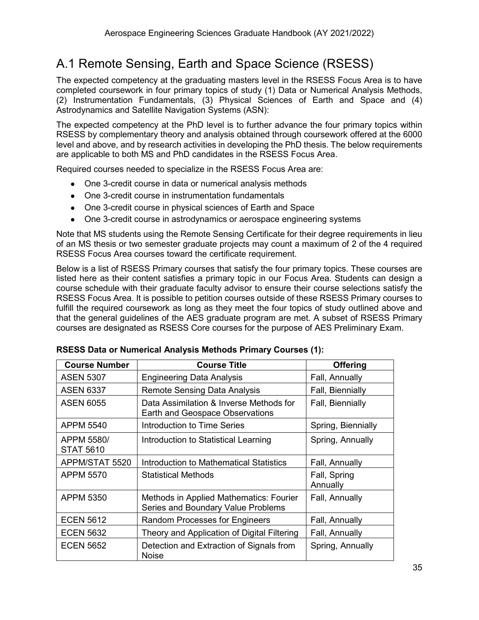## <span id="page-35-0"></span>A.1 Remote Sensing, Earth and Space Science (RSESS)

The expected competency at the graduating masters level in the RSESS Focus Area is to have completed coursework in four primary topics of study (1) Data or Numerical Analysis Methods, (2) Instrumentation Fundamentals, (3) Physical Sciences of Earth and Space and (4) Astrodynamics and Satellite Navigation Systems (ASN):

The expected competency at the PhD level is to further advance the four primary topics within RSESS by complementary theory and analysis obtained through coursework offered at the 6000 level and above, and by research activities in developing the PhD thesis. The below requirements are applicable to both MS and PhD candidates in the RSESS Focus Area.

Required courses needed to specialize in the RSESS Focus Area are:

- One 3-credit course in data or numerical analysis methods
- One 3-credit course in instrumentation fundamentals
- One 3-credit course in physical sciences of Earth and Space
- One 3-credit course in astrodynamics or aerospace engineering systems

Note that MS students using the Remote Sensing Certificate for their degree requirements in lieu of an MS thesis or two semester graduate projects may count a maximum of 2 of the 4 required RSESS Focus Area courses toward the certificate requirement.

Below is a list of RSESS Primary courses that satisfy the four primary topics. These courses are listed here as their content satisfies a primary topic in our Focus Area. Students can design a course schedule with their graduate faculty advisor to ensure their course selections satisfy the RSESS Focus Area. It is possible to petition courses outside of these RSESS Primary courses to fulfill the required coursework as long as they meet the four topics of study outlined above and that the general guidelines of the AES graduate program are met. A subset of RSESS Primary courses are designated as RSESS Core courses for the purpose of AES Preliminary Exam.

| <b>Course Number</b>           | <b>Course Title</b>                                                           | <b>Offering</b>          |
|--------------------------------|-------------------------------------------------------------------------------|--------------------------|
| <b>ASEN 5307</b>               | <b>Engineering Data Analysis</b>                                              | Fall, Annually           |
| <b>ASEN 6337</b>               | <b>Remote Sensing Data Analysis</b>                                           | Fall, Biennially         |
| <b>ASEN 6055</b>               | Data Assimilation & Inverse Methods for<br>Earth and Geospace Observations    | Fall, Biennially         |
| <b>APPM 5540</b>               | Introduction to Time Series                                                   | Spring, Biennially       |
| APPM 5580/<br><b>STAT 5610</b> | Introduction to Statistical Learning                                          | Spring, Annually         |
| APPM/STAT 5520                 | Introduction to Mathematical Statistics                                       | Fall, Annually           |
| APPM 5570                      | <b>Statistical Methods</b>                                                    | Fall, Spring<br>Annually |
| APPM 5350                      | Methods in Applied Mathematics: Fourier<br>Series and Boundary Value Problems | Fall, Annually           |
| <b>ECEN 5612</b>               | <b>Random Processes for Engineers</b>                                         | Fall, Annually           |
| <b>ECEN 5632</b>               | Theory and Application of Digital Filtering                                   | Fall, Annually           |
| <b>ECEN 5652</b>               | Detection and Extraction of Signals from<br><b>Noise</b>                      | Spring, Annually         |

| RSESS Data or Numerical Analysis Methods Primary Courses (1): |  |
|---------------------------------------------------------------|--|
|---------------------------------------------------------------|--|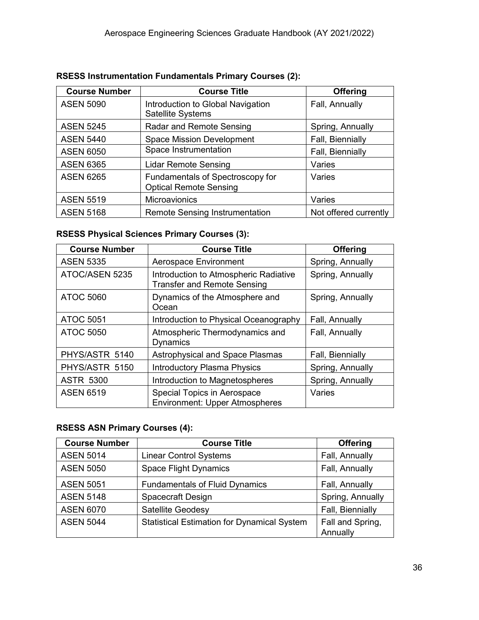| <b>Course Number</b> | <b>Course Title</b>                                               | <b>Offering</b>       |
|----------------------|-------------------------------------------------------------------|-----------------------|
| <b>ASEN 5090</b>     | Introduction to Global Navigation<br>Satellite Systems            | Fall, Annually        |
| <b>ASEN 5245</b>     | Radar and Remote Sensing                                          | Spring, Annually      |
| <b>ASEN 5440</b>     | <b>Space Mission Development</b>                                  | Fall, Biennially      |
| <b>ASEN 6050</b>     | Space Instrumentation                                             | Fall, Biennially      |
| <b>ASEN 6365</b>     | <b>Lidar Remote Sensing</b>                                       | Varies                |
| <b>ASEN 6265</b>     | Fundamentals of Spectroscopy for<br><b>Optical Remote Sensing</b> | Varies                |
| <b>ASEN 5519</b>     | Microavionics                                                     | Varies                |
| <b>ASEN 5168</b>     | <b>Remote Sensing Instrumentation</b>                             | Not offered currently |

#### **RSESS Instrumentation Fundamentals Primary Courses (2):**

#### **RSESS Physical Sciences Primary Courses (3):**

| <b>Course Number</b> | <b>Course Title</b>                                                         | <b>Offering</b>  |
|----------------------|-----------------------------------------------------------------------------|------------------|
| <b>ASEN 5335</b>     | Aerospace Environment                                                       | Spring, Annually |
| ATOC/ASEN 5235       | Introduction to Atmospheric Radiative<br><b>Transfer and Remote Sensing</b> | Spring, Annually |
| <b>ATOC 5060</b>     | Dynamics of the Atmosphere and<br>Ocean                                     | Spring, Annually |
| <b>ATOC 5051</b>     | Introduction to Physical Oceanography                                       | Fall, Annually   |
| <b>ATOC 5050</b>     | Atmospheric Thermodynamics and<br><b>Dynamics</b>                           | Fall, Annually   |
| PHYS/ASTR 5140       | <b>Astrophysical and Space Plasmas</b>                                      | Fall, Biennially |
| PHYS/ASTR 5150       | <b>Introductory Plasma Physics</b>                                          | Spring, Annually |
| <b>ASTR 5300</b>     | Introduction to Magnetospheres                                              | Spring, Annually |
| <b>ASEN 6519</b>     | Special Topics in Aerospace<br><b>Environment: Upper Atmospheres</b>        | Varies           |

#### **RSESS ASN Primary Courses (4):**

| <b>Course Number</b> | <b>Course Title</b>                                | <b>Offering</b>              |
|----------------------|----------------------------------------------------|------------------------------|
| <b>ASEN 5014</b>     | <b>Linear Control Systems</b>                      | Fall, Annually               |
| <b>ASEN 5050</b>     | <b>Space Flight Dynamics</b>                       | Fall, Annually               |
| <b>ASEN 5051</b>     | <b>Fundamentals of Fluid Dynamics</b>              | Fall, Annually               |
| <b>ASEN 5148</b>     | <b>Spacecraft Design</b>                           | Spring, Annually             |
| <b>ASEN 6070</b>     | <b>Satellite Geodesy</b>                           | Fall, Biennially             |
| <b>ASEN 5044</b>     | <b>Statistical Estimation for Dynamical System</b> | Fall and Spring,<br>Annually |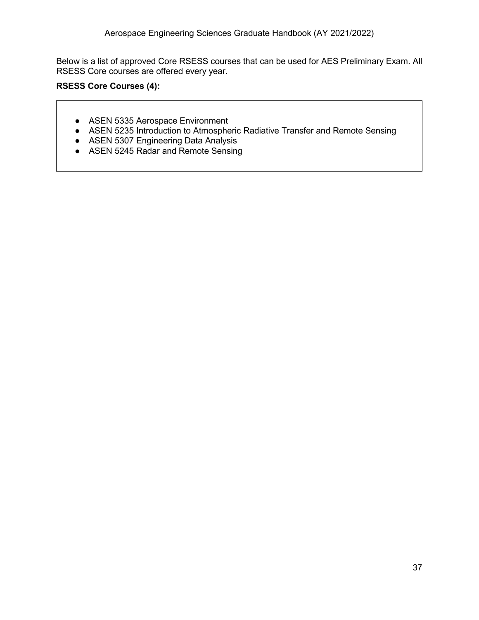Below is a list of approved Core RSESS courses that can be used for AES Preliminary Exam. All RSESS Core courses are offered every year.

#### **RSESS Core Courses (4):**

- ASEN 5335 Aerospace Environment
- ASEN 5235 Introduction to Atmospheric Radiative Transfer and Remote Sensing
- ASEN 5307 Engineering Data Analysis
- ASEN 5245 Radar and Remote Sensing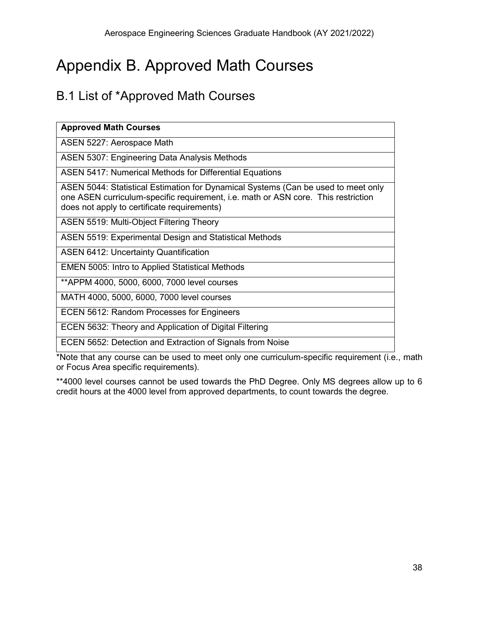## <span id="page-38-0"></span>Appendix B. Approved Math Courses

## <span id="page-38-1"></span>B.1 List of \*Approved Math Courses

| <b>Approved Math Courses</b>                                                                                                                                                                                          |
|-----------------------------------------------------------------------------------------------------------------------------------------------------------------------------------------------------------------------|
| ASEN 5227: Aerospace Math                                                                                                                                                                                             |
| <b>ASEN 5307: Engineering Data Analysis Methods</b>                                                                                                                                                                   |
| <b>ASEN 5417: Numerical Methods for Differential Equations</b>                                                                                                                                                        |
| ASEN 5044: Statistical Estimation for Dynamical Systems (Can be used to meet only<br>one ASEN curriculum-specific requirement, i.e. math or ASN core. This restriction<br>does not apply to certificate requirements) |
| ASEN 5519: Multi-Object Filtering Theory                                                                                                                                                                              |
| ASEN 5519: Experimental Design and Statistical Methods                                                                                                                                                                |
| <b>ASEN 6412: Uncertainty Quantification</b>                                                                                                                                                                          |
| <b>EMEN 5005: Intro to Applied Statistical Methods</b>                                                                                                                                                                |
| **APPM 4000, 5000, 6000, 7000 level courses                                                                                                                                                                           |
| MATH 4000, 5000, 6000, 7000 level courses                                                                                                                                                                             |
| ECEN 5612: Random Processes for Engineers                                                                                                                                                                             |
| ECEN 5632: Theory and Application of Digital Filtering                                                                                                                                                                |
| ECEN 5652: Detection and Extraction of Signals from Noise                                                                                                                                                             |

\*Note that any course can be used to meet only one curriculum-specific requirement (i.e., math or Focus Area specific requirements).

\*\*4000 level courses cannot be used towards the PhD Degree. Only MS degrees allow up to 6 credit hours at the 4000 level from approved departments, to count towards the degree.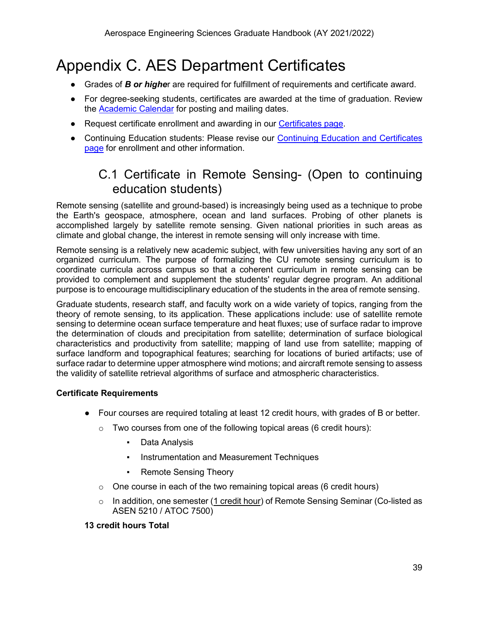## <span id="page-39-0"></span>Appendix C. AES Department Certificates

- Grades of *B or highe*r are required for fulfillment of requirements and certificate award.
- For degree-seeking students, certificates are awarded at the time of graduation. Review the [Academic Calendar](https://www.colorado.edu/registrar/students/calendar) for posting and mailing dates.
- Request certificate enrollment and awarding in our [Certificates page.](https://www.colorado.edu/aerospace/current-students/graduates/curriculum/certificates)
- <span id="page-39-1"></span>● Continuing Education students: Please revise our Continuing Education and Certificates [page](https://www.colorado.edu/aerospace/prospective-students/graduates/academics/certificates-continuing-education) for enrollment and other information.

## C.1 Certificate in Remote Sensing- (Open to continuing education students)

Remote sensing (satellite and ground-based) is increasingly being used as a technique to probe the Earth's geospace, atmosphere, ocean and land surfaces. Probing of other planets is accomplished largely by satellite remote sensing. Given national priorities in such areas as climate and global change, the interest in remote sensing will only increase with time.

Remote sensing is a relatively new academic subject, with few universities having any sort of an organized curriculum. The purpose of formalizing the CU remote sensing curriculum is to coordinate curricula across campus so that a coherent curriculum in remote sensing can be provided to complement and supplement the students' regular degree program. An additional purpose is to encourage multidisciplinary education of the students in the area of remote sensing.

Graduate students, research staff, and faculty work on a wide variety of topics, ranging from the theory of remote sensing, to its application. These applications include: use of satellite remote sensing to determine ocean surface temperature and heat fluxes; use of surface radar to improve the determination of clouds and precipitation from satellite; determination of surface biological characteristics and productivity from satellite; mapping of land use from satellite; mapping of surface landform and topographical features; searching for locations of buried artifacts; use of surface radar to determine upper atmosphere wind motions; and aircraft remote sensing to assess the validity of satellite retrieval algorithms of surface and atmospheric characteristics.

#### **Certificate Requirements**

- Four courses are required totaling at least 12 credit hours, with grades of B or better.
	- $\circ$  Two courses from one of the following topical areas (6 credit hours):
		- Data Analysis
		- Instrumentation and Measurement Techniques
		- **Remote Sensing Theory**
	- $\circ$  One course in each of the two remaining topical areas (6 credit hours)
	- $\circ$  In addition, one semester (1 credit hour) of Remote Sensing Seminar (Co-listed as ASEN 5210 / ATOC 7500)

#### **13 credit hours Total**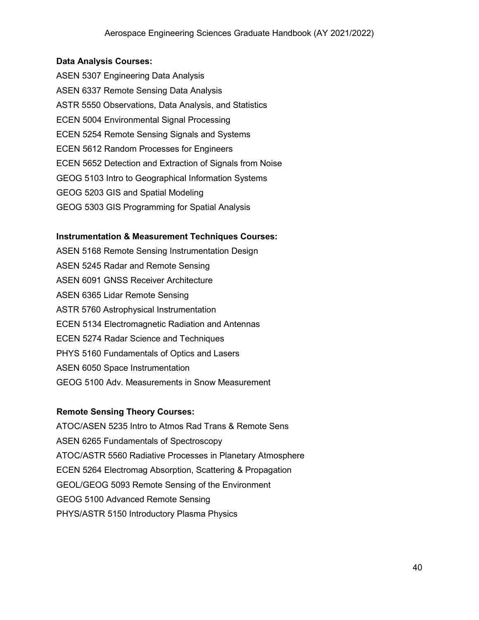#### **Data Analysis Courses:**

ASEN 5307 Engineering Data Analysis ASEN 6337 Remote Sensing Data Analysis ASTR 5550 Observations, Data Analysis, and Statistics ECEN 5004 Environmental Signal Processing ECEN 5254 Remote Sensing Signals and Systems ECEN 5612 Random Processes for Engineers ECEN 5652 Detection and Extraction of Signals from Noise GEOG 5103 Intro to Geographical Information Systems GEOG 5203 GIS and Spatial Modeling GEOG 5303 GIS Programming for Spatial Analysis

#### **Instrumentation & Measurement Techniques Courses:**

ASEN 5168 Remote Sensing Instrumentation Design ASEN 5245 Radar and Remote Sensing ASEN 6091 GNSS Receiver Architecture ASEN 6365 Lidar Remote Sensing ASTR 5760 Astrophysical Instrumentation ECEN 5134 Electromagnetic Radiation and Antennas ECEN 5274 Radar Science and Techniques PHYS 5160 Fundamentals of Optics and Lasers ASEN 6050 Space Instrumentation GEOG 5100 Adv. Measurements in Snow Measurement

#### **Remote Sensing Theory Courses:**

ATOC/ASEN 5235 Intro to Atmos Rad Trans & Remote Sens ASEN 6265 Fundamentals of Spectroscopy ATOC/ASTR 5560 Radiative Processes in Planetary Atmosphere ECEN 5264 Electromag Absorption, Scattering & Propagation GEOL/GEOG 5093 Remote Sensing of the Environment GEOG 5100 Advanced Remote Sensing PHYS/ASTR 5150 Introductory Plasma Physics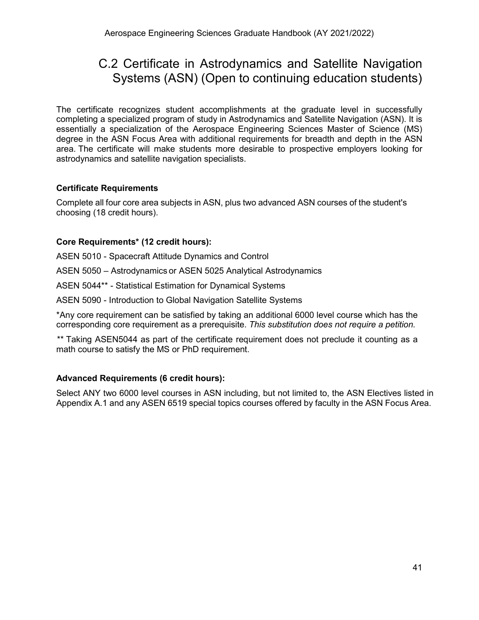## <span id="page-41-0"></span>C.2 Certificate in Astrodynamics and Satellite Navigation Systems (ASN) (Open to continuing education students)

The certificate recognizes student accomplishments at the graduate level in successfully completing a specialized program of study in Astrodynamics and Satellite Navigation (ASN). It is essentially a specialization of the Aerospace Engineering Sciences Master of Science (MS) degree in the ASN Focus Area with additional requirements for breadth and depth in the ASN area. The certificate will make students more desirable to prospective employers looking for astrodynamics and satellite navigation specialists.

#### **Certificate Requirements**

Complete all four core area subjects in ASN, plus two advanced ASN courses of the student's choosing (18 credit hours).

#### **Core Requirements\* (12 credit hours):**

ASEN 5010 - Spacecraft Attitude Dynamics and Control

ASEN 5050 – Astrodynamics or ASEN 5025 Analytical Astrodynamics

ASEN 5044\*\* - Statistical Estimation for Dynamical Systems

ASEN 5090 - Introduction to Global Navigation Satellite Systems

\*Any core requirement can be satisfied by taking an additional 6000 level course which has the corresponding core requirement as a prerequisite. *This substitution does not require a petition.*

*\*\** Taking ASEN5044 as part of the certificate requirement does not preclude it counting as a math course to satisfy the MS or PhD requirement.

#### **Advanced Requirements (6 credit hours):**

Select ANY two 6000 level courses in ASN including, but not limited to, the ASN Electives listed in Appendix A.1 and any ASEN 6519 special topics courses offered by faculty in the ASN Focus Area.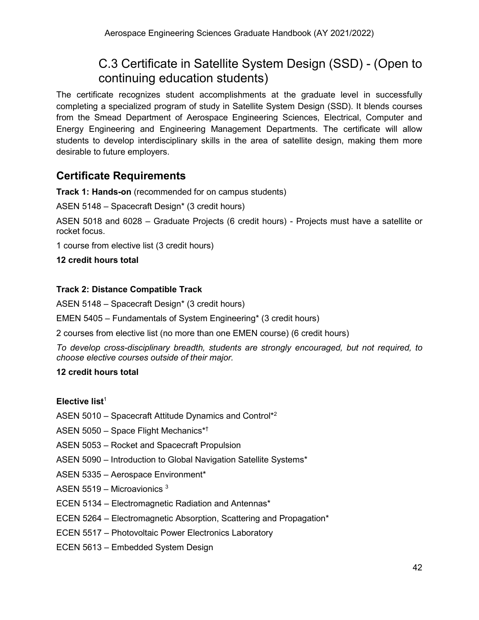## C.3 Certificate in Satellite System Design (SSD) - (Open to continuing education students)

<span id="page-42-0"></span>The certificate recognizes student accomplishments at the graduate level in successfully completing a specialized program of study in Satellite System Design (SSD). It blends courses from the Smead Department of Aerospace Engineering Sciences, Electrical, Computer and Energy Engineering and Engineering Management Departments. The certificate will allow students to develop interdisciplinary skills in the area of satellite design, making them more desirable to future employers.

### **Certificate Requirements**

**Track 1: Hands-on** (recommended for on campus students)

ASEN 5148 – Spacecraft Design\* (3 credit hours)

ASEN 5018 and 6028 – Graduate Projects (6 credit hours) - Projects must have a satellite or rocket focus.

1 course from elective list (3 credit hours)

#### **12 credit hours total**

#### **Track 2: Distance Compatible Track**

ASEN 5148 – Spacecraft Design\* (3 credit hours)

EMEN 5405 – Fundamentals of System Engineering\* (3 credit hours)

2 courses from elective list (no more than one EMEN course) (6 credit hours)

*To develop cross-disciplinary breadth, students are strongly encouraged, but not required, to choose elective courses outside of their major.*

#### **12 credit hours total**

#### **Elective list<sup>1</sup>**

ASEN 5010 – Spacecraft Attitude Dynamics and Control\*2

ASEN 5050 – Space Flight Mechanics\*†

- ASEN 5053 Rocket and Spacecraft Propulsion
- ASEN 5090 Introduction to Global Navigation Satellite Systems\*
- ASEN 5335 Aerospace Environment\*
- ASEN 5519 Microavionics 3
- ECEN 5134 Electromagnetic Radiation and Antennas\*
- ECEN 5264 Electromagnetic Absorption, Scattering and Propagation\*
- ECEN 5517 Photovoltaic Power Electronics Laboratory
- ECEN 5613 Embedded System Design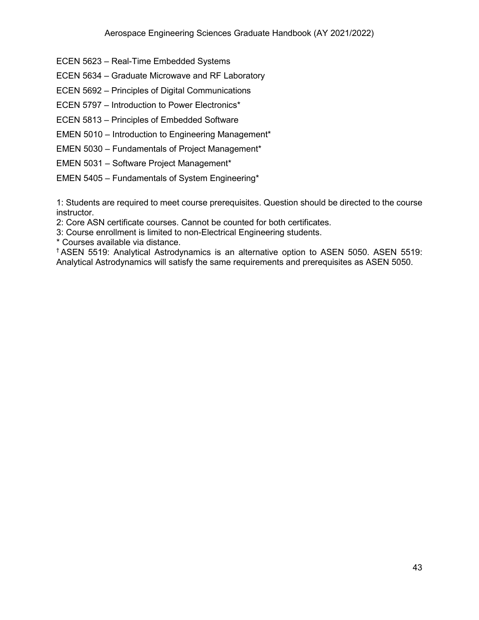- ECEN 5623 Real-Time Embedded Systems
- ECEN 5634 Graduate Microwave and RF Laboratory
- ECEN 5692 Principles of Digital Communications
- ECEN 5797 Introduction to Power Electronics\*
- ECEN 5813 Principles of Embedded Software
- EMEN 5010 Introduction to Engineering Management\*
- EMEN 5030 Fundamentals of Project Management\*
- EMEN 5031 Software Project Management\*
- EMEN 5405 Fundamentals of System Engineering\*

1: Students are required to meet course prerequisites. Question should be directed to the course instructor.

2: Core ASN certificate courses. Cannot be counted for both certificates.

3: Course enrollment is limited to non-Electrical Engineering students.

\* Courses available via distance.

† ASEN 5519: Analytical Astrodynamics is an alternative option to ASEN 5050. ASEN 5519: Analytical Astrodynamics will satisfy the same requirements and prerequisites as ASEN 5050.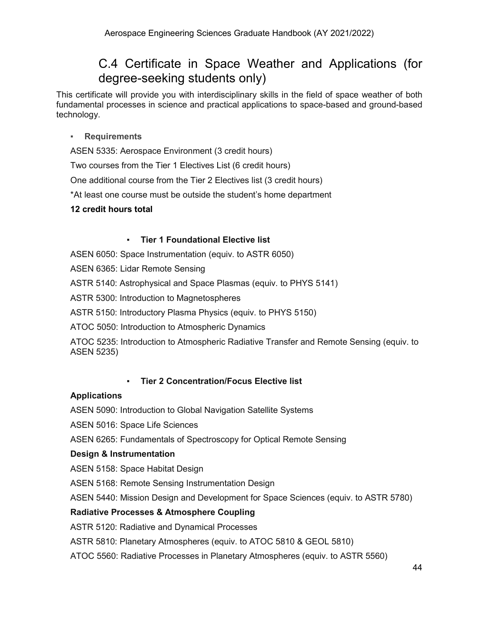## C.4 Certificate in Space Weather and Applications (for degree-seeking students only)

<span id="page-44-0"></span>This certificate will provide you with interdisciplinary skills in the field of space weather of both fundamental processes in science and practical applications to space-based and ground-based technology.

#### <span id="page-44-1"></span>▪ **Requirements**

ASEN 5335: Aerospace Environment (3 credit hours)

Two courses from the Tier 1 Electives List (6 credit hours)

One additional course from the Tier 2 Electives list (3 credit hours)

\*At least one course must be outside the student's home department

#### **12 credit hours total**

#### **Tier 1 Foundational Elective list**

<span id="page-44-2"></span>ASEN 6050: Space Instrumentation (equiv. to ASTR 6050)

ASEN 6365: Lidar Remote Sensing

ASTR 5140: Astrophysical and Space Plasmas (equiv. to PHYS 5141)

ASTR 5300: Introduction to Magnetospheres

ASTR 5150: Introductory Plasma Physics (equiv. to PHYS 5150)

ATOC 5050: Introduction to Atmospheric Dynamics

ATOC 5235: Introduction to Atmospheric Radiative Transfer and Remote Sensing (equiv. to ASEN 5235)

#### **Tier 2 Concentration/Focus Elective list**

#### <span id="page-44-3"></span>**Applications**

ASEN 5090: Introduction to Global Navigation Satellite Systems

ASEN 5016: Space Life Sciences

ASEN 6265: Fundamentals of Spectroscopy for Optical Remote Sensing

#### **Design & Instrumentation**

ASEN 5158: Space Habitat Design

ASEN 5168: Remote Sensing Instrumentation Design

ASEN 5440: Mission Design and Development for Space Sciences (equiv. to ASTR 5780)

#### **Radiative Processes & Atmosphere Coupling**

ASTR 5120: Radiative and Dynamical Processes

ASTR 5810: Planetary Atmospheres (equiv. to ATOC 5810 & GEOL 5810)

ATOC 5560: Radiative Processes in Planetary Atmospheres (equiv. to ASTR 5560)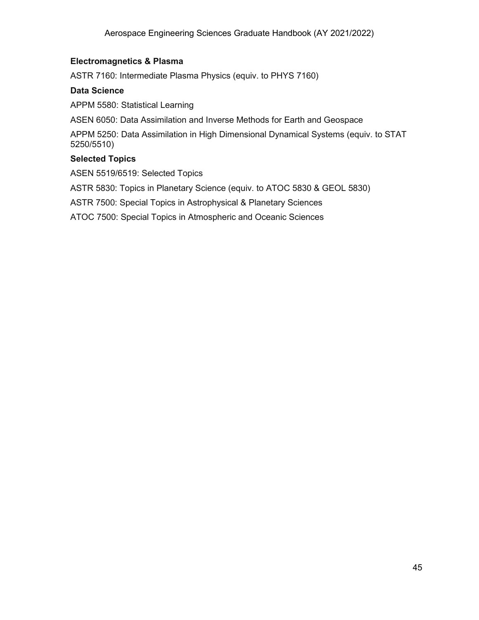#### **Electromagnetics & Plasma**

ASTR 7160: Intermediate Plasma Physics (equiv. to PHYS 7160)

#### **Data Science**

APPM 5580: Statistical Learning

ASEN 6050: Data Assimilation and Inverse Methods for Earth and Geospace

APPM 5250: Data Assimilation in High Dimensional Dynamical Systems (equiv. to STAT 5250/5510)

#### **Selected Topics**

ASEN 5519/6519: Selected Topics

ASTR 5830: Topics in Planetary Science (equiv. to ATOC 5830 & GEOL 5830)

ASTR 7500: Special Topics in Astrophysical & Planetary Sciences

ATOC 7500: Special Topics in Atmospheric and Oceanic Sciences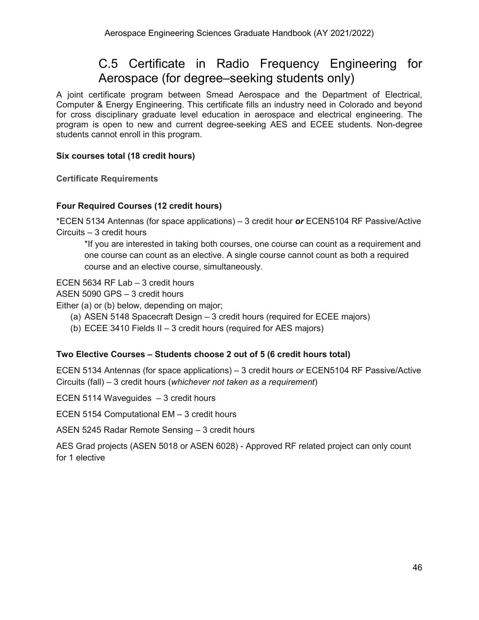## C.5 Certificate in Radio Frequency Engineering for Aerospace (for degree–seeking students only)

<span id="page-46-0"></span>A joint certificate program between Smead Aerospace and the Department of Electrical, Computer & Energy Engineering. This certificate fills an industry need in Colorado and beyond for cross disciplinary graduate level education in aerospace and electrical engineering. The program is open to new and current degree-seeking AES and ECEE students. Non-degree students cannot enroll in this program.

#### **Six courses total (18 credit hours)**

<span id="page-46-1"></span>**Certificate Requirements**

#### **Four Required Courses (12 credit hours)**

\*ECEN 5134 Antennas (for space applications) – 3 credit hour *or* ECEN5104 RF Passive/Active Circuits – 3 credit hours

\*If you are interested in taking both courses, one course can count as a requirement and one course can count as an elective. A single course cannot count as both a required course and an elective course, simultaneously.

ECEN 5634 RF Lab – 3 credit hours

ASEN 5090 GPS – 3 credit hours

Either (a) or (b) below, depending on major;

- (a) ASEN 5148 Spacecraft Design 3 credit hours (required for ECEE majors)
- (b) ECEE 3410 Fields II 3 credit hours (required for AES majors)

#### **Two Elective Courses – Students choose 2 out of 5 (6 credit hours total)**

ECEN 5134 Antennas (for space applications) – 3 credit hours *or* ECEN5104 RF Passive/Active Circuits (fall) – 3 credit hours (*whichever not taken as a requirement*)

ECEN 5114 Waveguides – 3 credit hours

ECEN 5154 Computational EM – 3 credit hours

ASEN 5245 Radar Remote Sensing – 3 credit hours

AES Grad projects (ASEN 5018 or ASEN 6028) - Approved RF related project can only count for 1 elective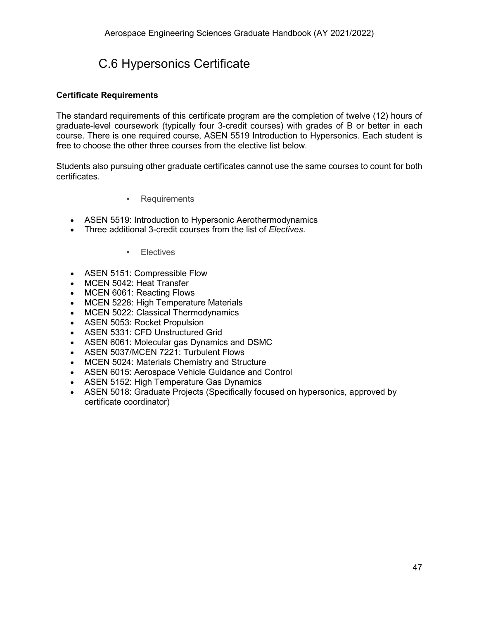## C.6 Hypersonics Certificate

#### <span id="page-47-0"></span>**Certificate Requirements**

The standard requirements of this certificate program are the completion of twelve (12) hours of graduate-level coursework (typically four 3-credit courses) with grades of B or better in each course. There is one required course, ASEN 5519 Introduction to Hypersonics. Each student is free to choose the other three courses from the elective list below.

Students also pursuing other graduate certificates cannot use the same courses to count for both certificates.

- Requirements
- <span id="page-47-1"></span>• ASEN 5519: Introduction to Hypersonic Aerothermodynamics
- <span id="page-47-2"></span>• Three additional 3-credit courses from the list of *Electives*.

#### ▪ Electives

- ASEN 5151: Compressible Flow
- MCEN 5042: Heat Transfer
- MCEN 6061: Reacting Flows
- MCEN 5228: High Temperature Materials
- MCEN 5022: Classical Thermodynamics
- ASEN 5053: Rocket Propulsion
- ASEN 5331: CFD Unstructured Grid
- ASEN 6061: Molecular gas Dynamics and DSMC
- ASEN 5037/MCEN 7221: Turbulent Flows
- MCEN 5024: Materials Chemistry and Structure
- ASEN 6015: Aerospace Vehicle Guidance and Control
- ASEN 5152: High Temperature Gas Dynamics
- ASEN 5018: Graduate Projects (Specifically focused on hypersonics, approved by certificate coordinator)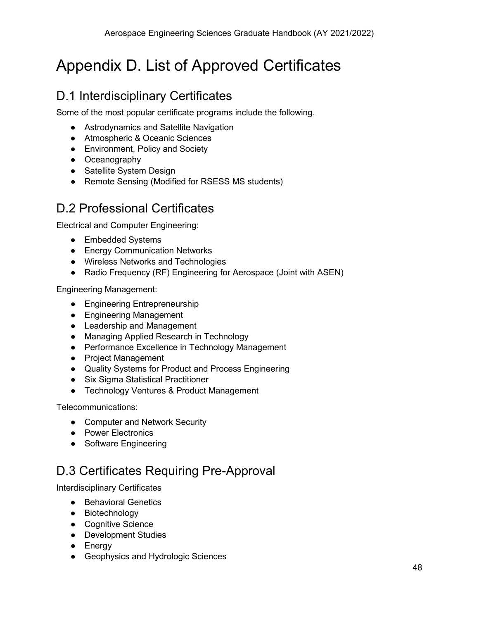# <span id="page-48-0"></span>Appendix D. List of Approved Certificates

## <span id="page-48-1"></span>D.1 Interdisciplinary Certificates

Some of the most popular certificate programs include the following.

- Astrodynamics and Satellite Navigation
- Atmospheric & Oceanic Sciences
- Environment, Policy and Society
- Oceanography
- Satellite System Design
- Remote Sensing (Modified for RSESS MS students)

## <span id="page-48-2"></span>D.2 Professional Certificates

Electrical and Computer Engineering:

- Embedded Systems
- [Energy](http://ece.colorado.edu/%7Epwrelect/book/CEdCourses.html) Communication Networks
- [Wireless](http://ece.colorado.edu/%7Eswengctf/) Networks and Technologies
- Radio Frequency (RF) Engineering for Aerospace (Joint with ASEN)

Engineering Management:

- Engineering Entrepreneurship
- Engineering Management
- Leadership and Management
- Managing Applied Research in Technology
- Performance Excellence in Technology Management
- Project Management
- Quality Systems for Product and Process Engineering
- Six Sigma Statistical Practitioner
- Technology Ventures & Product Management

Telecommunications:

- Computer and Network Security
- Power Electronics
- Software Engineering

## <span id="page-48-3"></span>D.3 Certificates Requiring Pre-Approval

Interdisciplinary Certificates

- Behavioral Genetics
- Biotechnology
- Cognitive Science
- Development Studies
- Energy
- Geophysics and Hydrologic Sciences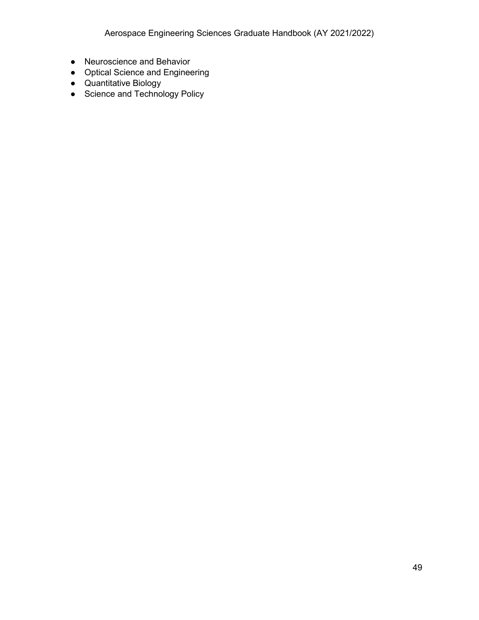- Neuroscience and Behavior
- Optical Science and Engineering
- Quantitative Biology
- Science and Technology Policy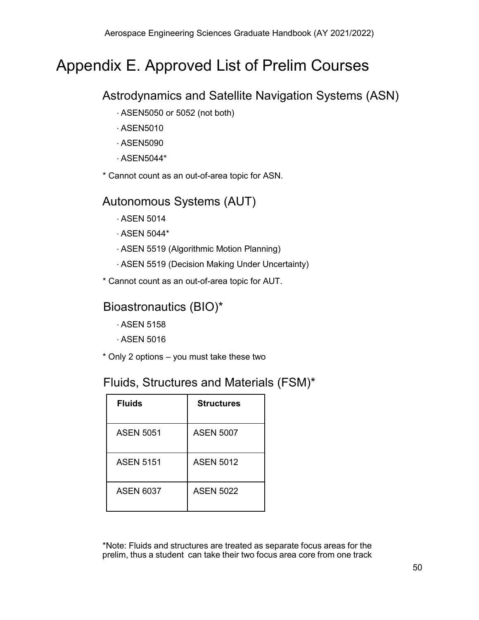## <span id="page-50-0"></span>Appendix E. Approved List of Prelim Courses

## Astrodynamics and Satellite Navigation Systems (ASN)

- ∙ ASEN5050 or 5052 (not both)
- ∙ ASEN5010
- ∙ ASEN5090
- ∙ ASEN5044\*

\* Cannot count as an out-of-area topic for ASN.

## Autonomous Systems (AUT)

- ∙ ASEN 5014
- ∙ ASEN 5044\*
- ∙ ASEN 5519 (Algorithmic Motion Planning)
- ∙ ASEN 5519 (Decision Making Under Uncertainty)
- \* Cannot count as an out-of-area topic for AUT.

## Bioastronautics (BIO)\*

- ∙ ASEN 5158
- ∙ ASEN 5016
- \* Only 2 options you must take these two

## Fluids, Structures and Materials (FSM)\*

| <b>Fluids</b>    | <b>Structures</b> |
|------------------|-------------------|
| <b>ASEN 5051</b> | <b>ASEN 5007</b>  |
| <b>ASEN 5151</b> | <b>ASEN 5012</b>  |
| ASEN 6037        | <b>ASEN 5022</b>  |

\*Note: Fluids and structures are treated as separate focus areas for the prelim, thus a student can take their two focus area core from one track